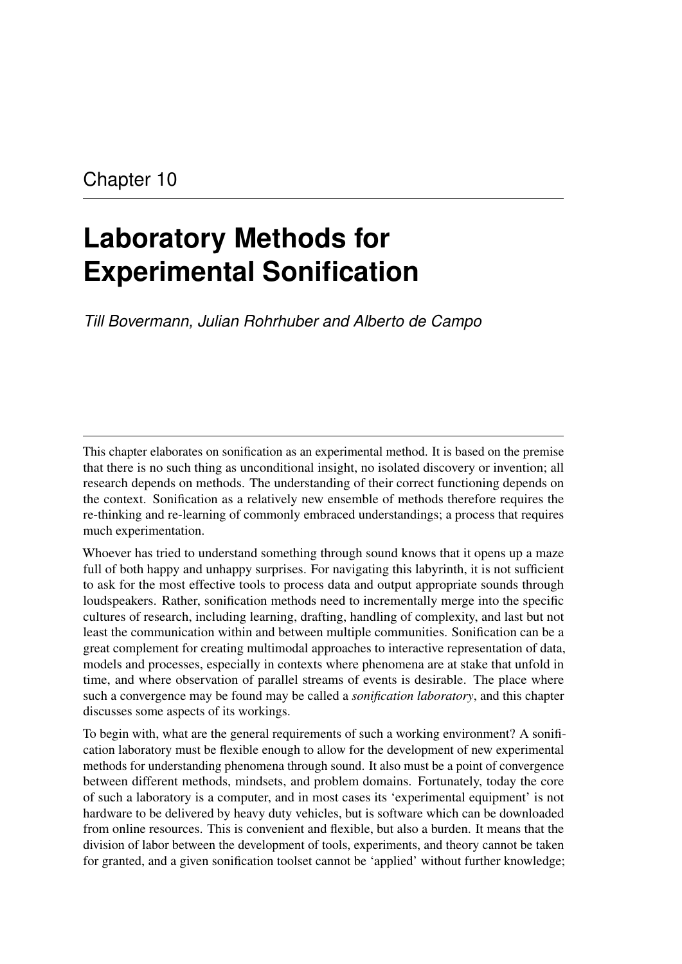# **Laboratory Methods for Experimental Sonification**

*Till Bovermann, Julian Rohrhuber and Alberto de Campo*

This chapter elaborates on sonification as an experimental method. It is based on the premise that there is no such thing as unconditional insight, no isolated discovery or invention; all research depends on methods. The understanding of their correct functioning depends on the context. Sonification as a relatively new ensemble of methods therefore requires the re-thinking and re-learning of commonly embraced understandings; a process that requires much experimentation.

Whoever has tried to understand something through sound knows that it opens up a maze full of both happy and unhappy surprises. For navigating this labyrinth, it is not sufficient to ask for the most effective tools to process data and output appropriate sounds through loudspeakers. Rather, sonification methods need to incrementally merge into the specific cultures of research, including learning, drafting, handling of complexity, and last but not least the communication within and between multiple communities. Sonification can be a great complement for creating multimodal approaches to interactive representation of data, models and processes, especially in contexts where phenomena are at stake that unfold in time, and where observation of parallel streams of events is desirable. The place where such a convergence may be found may be called a *sonification laboratory*, and this chapter discusses some aspects of its workings.

To begin with, what are the general requirements of such a working environment? A sonification laboratory must be flexible enough to allow for the development of new experimental methods for understanding phenomena through sound. It also must be a point of convergence between different methods, mindsets, and problem domains. Fortunately, today the core of such a laboratory is a computer, and in most cases its 'experimental equipment' is not hardware to be delivered by heavy duty vehicles, but is software which can be downloaded from online resources. This is convenient and flexible, but also a burden. It means that the division of labor between the development of tools, experiments, and theory cannot be taken for granted, and a given sonification toolset cannot be 'applied' without further knowledge;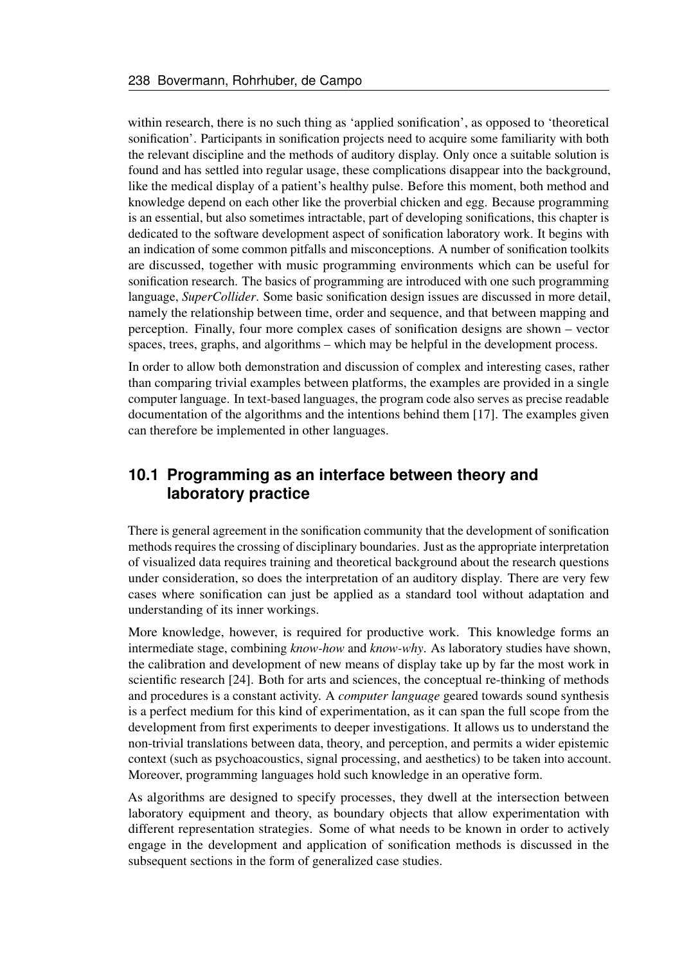within research, there is no such thing as 'applied sonification', as opposed to 'theoretical sonification'. Participants in sonification projects need to acquire some familiarity with both the relevant discipline and the methods of auditory display. Only once a suitable solution is found and has settled into regular usage, these complications disappear into the background, like the medical display of a patient's healthy pulse. Before this moment, both method and knowledge depend on each other like the proverbial chicken and egg. Because programming is an essential, but also sometimes intractable, part of developing sonifications, this chapter is dedicated to the software development aspect of sonification laboratory work. It begins with an indication of some common pitfalls and misconceptions. A number of sonification toolkits are discussed, together with music programming environments which can be useful for sonification research. The basics of programming are introduced with one such programming language, *SuperCollider*. Some basic sonification design issues are discussed in more detail, namely the relationship between time, order and sequence, and that between mapping and perception. Finally, four more complex cases of sonification designs are shown – vector spaces, trees, graphs, and algorithms – which may be helpful in the development process.

In order to allow both demonstration and discussion of complex and interesting cases, rather than comparing trivial examples between platforms, the examples are provided in a single computer language. In text-based languages, the program code also serves as precise readable documentation of the algorithms and the intentions behind them [17]. The examples given can therefore be implemented in other languages.

# **10.1 Programming as an interface between theory and laboratory practice**

There is general agreement in the sonification community that the development of sonification methods requires the crossing of disciplinary boundaries. Just as the appropriate interpretation of visualized data requires training and theoretical background about the research questions under consideration, so does the interpretation of an auditory display. There are very few cases where sonification can just be applied as a standard tool without adaptation and understanding of its inner workings.

More knowledge, however, is required for productive work. This knowledge forms an intermediate stage, combining *know-how* and *know-why*. As laboratory studies have shown, the calibration and development of new means of display take up by far the most work in scientific research [24]. Both for arts and sciences, the conceptual re-thinking of methods and procedures is a constant activity. A *computer language* geared towards sound synthesis is a perfect medium for this kind of experimentation, as it can span the full scope from the development from first experiments to deeper investigations. It allows us to understand the non-trivial translations between data, theory, and perception, and permits a wider epistemic context (such as psychoacoustics, signal processing, and aesthetics) to be taken into account. Moreover, programming languages hold such knowledge in an operative form.

As algorithms are designed to specify processes, they dwell at the intersection between laboratory equipment and theory, as boundary objects that allow experimentation with different representation strategies. Some of what needs to be known in order to actively engage in the development and application of sonification methods is discussed in the subsequent sections in the form of generalized case studies.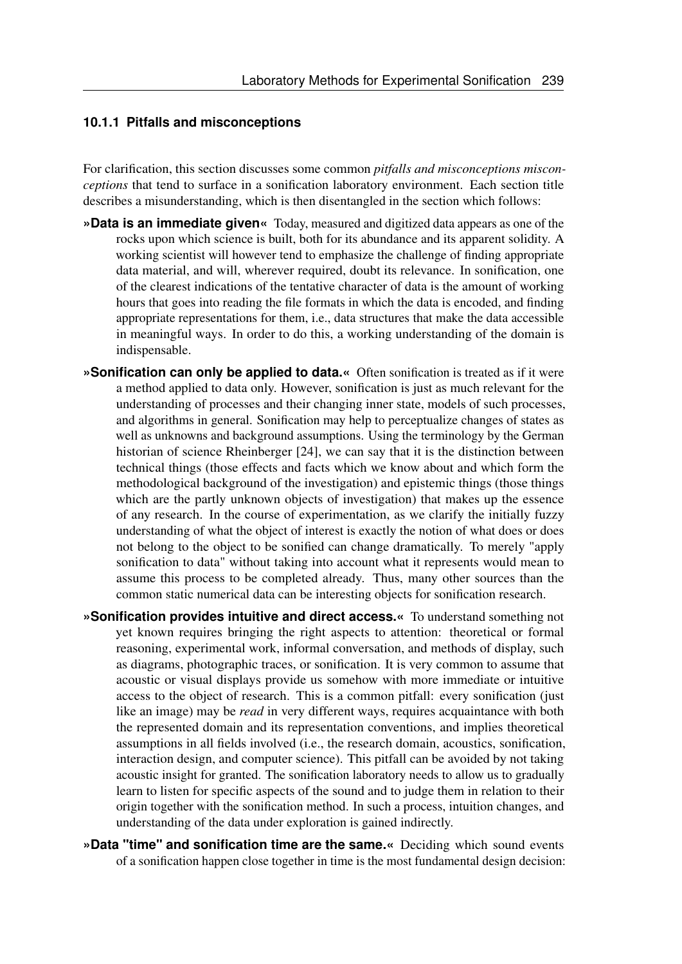#### **10.1.1 Pitfalls and misconceptions**

For clarification, this section discusses some common *pitfalls and misconceptions misconceptions* that tend to surface in a sonification laboratory environment. Each section title describes a misunderstanding, which is then disentangled in the section which follows:

- **»Data is an immediate given«** Today, measured and digitized data appears as one of the rocks upon which science is built, both for its abundance and its apparent solidity. A working scientist will however tend to emphasize the challenge of finding appropriate data material, and will, wherever required, doubt its relevance. In sonification, one of the clearest indications of the tentative character of data is the amount of working hours that goes into reading the file formats in which the data is encoded, and finding appropriate representations for them, i.e., data structures that make the data accessible in meaningful ways. In order to do this, a working understanding of the domain is indispensable.
- **»Sonification can only be applied to data.«** Often sonification is treated as if it were a method applied to data only. However, sonification is just as much relevant for the understanding of processes and their changing inner state, models of such processes, and algorithms in general. Sonification may help to perceptualize changes of states as well as unknowns and background assumptions. Using the terminology by the German historian of science Rheinberger [24], we can say that it is the distinction between technical things (those effects and facts which we know about and which form the methodological background of the investigation) and epistemic things (those things which are the partly unknown objects of investigation) that makes up the essence of any research. In the course of experimentation, as we clarify the initially fuzzy understanding of what the object of interest is exactly the notion of what does or does not belong to the object to be sonified can change dramatically. To merely "apply sonification to data" without taking into account what it represents would mean to assume this process to be completed already. Thus, many other sources than the common static numerical data can be interesting objects for sonification research.
- **»Sonification provides intuitive and direct access.«** To understand something not yet known requires bringing the right aspects to attention: theoretical or formal reasoning, experimental work, informal conversation, and methods of display, such as diagrams, photographic traces, or sonification. It is very common to assume that acoustic or visual displays provide us somehow with more immediate or intuitive access to the object of research. This is a common pitfall: every sonification (just like an image) may be *read* in very different ways, requires acquaintance with both the represented domain and its representation conventions, and implies theoretical assumptions in all fields involved (i.e., the research domain, acoustics, sonification, interaction design, and computer science). This pitfall can be avoided by not taking acoustic insight for granted. The sonification laboratory needs to allow us to gradually learn to listen for specific aspects of the sound and to judge them in relation to their origin together with the sonification method. In such a process, intuition changes, and understanding of the data under exploration is gained indirectly.
- **»Data "time" and sonification time are the same.«** Deciding which sound events of a sonification happen close together in time is the most fundamental design decision: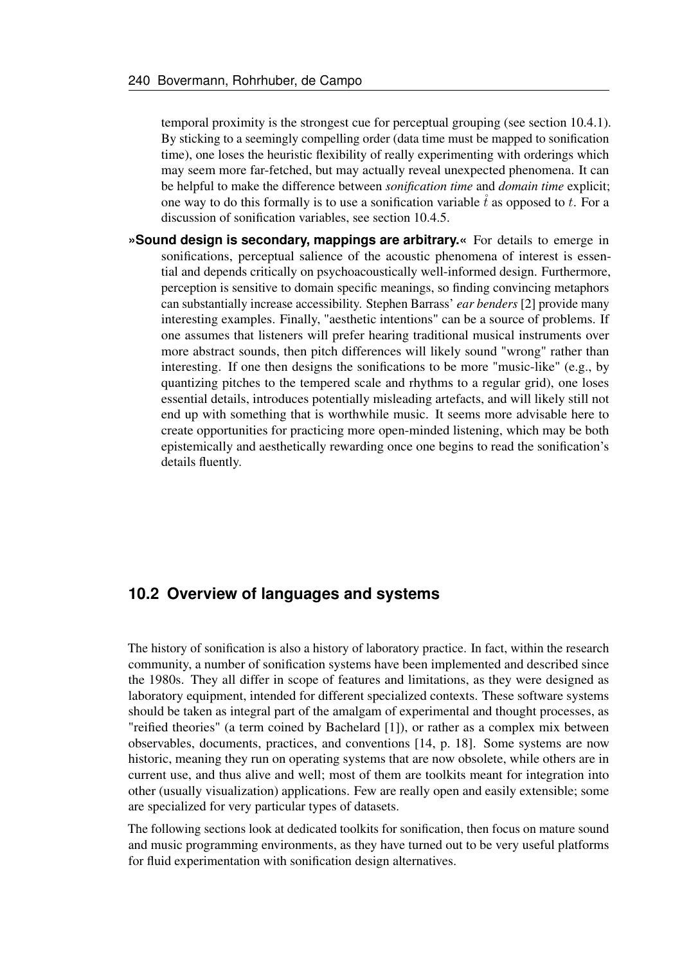temporal proximity is the strongest cue for perceptual grouping (see section 10.4.1). By sticking to a seemingly compelling order (data time must be mapped to sonification time), one loses the heuristic flexibility of really experimenting with orderings which may seem more far-fetched, but may actually reveal unexpected phenomena. It can be helpful to make the difference between *sonification time* and *domain time* explicit; one way to do this formally is to use a sonification variable  $\dot{t}$  as opposed to  $t$ . For a discussion of sonification variables, see section 10.4.5.

**»Sound design is secondary, mappings are arbitrary.«** For details to emerge in sonifications, perceptual salience of the acoustic phenomena of interest is essential and depends critically on psychoacoustically well-informed design. Furthermore, perception is sensitive to domain specific meanings, so finding convincing metaphors can substantially increase accessibility. Stephen Barrass' *ear benders* [2] provide many interesting examples. Finally, "aesthetic intentions" can be a source of problems. If one assumes that listeners will prefer hearing traditional musical instruments over more abstract sounds, then pitch differences will likely sound "wrong" rather than interesting. If one then designs the sonifications to be more "music-like" (e.g., by quantizing pitches to the tempered scale and rhythms to a regular grid), one loses essential details, introduces potentially misleading artefacts, and will likely still not end up with something that is worthwhile music. It seems more advisable here to create opportunities for practicing more open-minded listening, which may be both epistemically and aesthetically rewarding once one begins to read the sonification's details fluently.

# **10.2 Overview of languages and systems**

The history of sonification is also a history of laboratory practice. In fact, within the research community, a number of sonification systems have been implemented and described since the 1980s. They all differ in scope of features and limitations, as they were designed as laboratory equipment, intended for different specialized contexts. These software systems should be taken as integral part of the amalgam of experimental and thought processes, as "reified theories" (a term coined by Bachelard [1]), or rather as a complex mix between observables, documents, practices, and conventions [14, p. 18]. Some systems are now historic, meaning they run on operating systems that are now obsolete, while others are in current use, and thus alive and well; most of them are toolkits meant for integration into other (usually visualization) applications. Few are really open and easily extensible; some are specialized for very particular types of datasets.

The following sections look at dedicated toolkits for sonification, then focus on mature sound and music programming environments, as they have turned out to be very useful platforms for fluid experimentation with sonification design alternatives.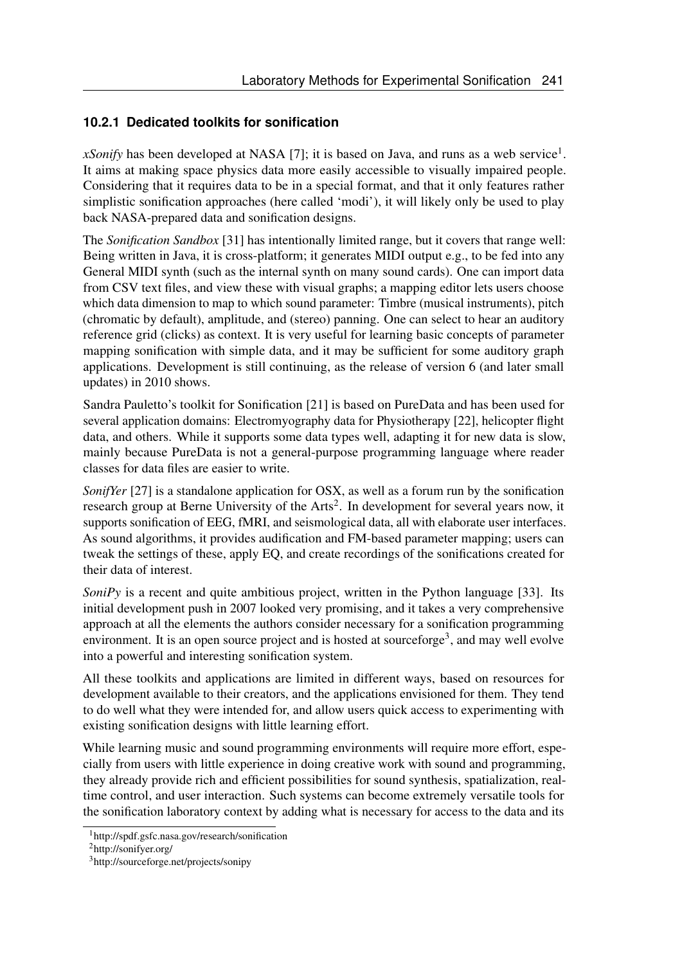# **10.2.1 Dedicated toolkits for sonification**

*xSonify* has been developed at NASA [7]; it is based on Java, and runs as a web service<sup>1</sup>. It aims at making space physics data more easily accessible to visually impaired people. Considering that it requires data to be in a special format, and that it only features rather simplistic sonification approaches (here called 'modi'), it will likely only be used to play back NASA-prepared data and sonification designs.

The *Sonification Sandbox* [31] has intentionally limited range, but it covers that range well: Being written in Java, it is cross-platform; it generates MIDI output e.g., to be fed into any General MIDI synth (such as the internal synth on many sound cards). One can import data from CSV text files, and view these with visual graphs; a mapping editor lets users choose which data dimension to map to which sound parameter: Timbre (musical instruments), pitch (chromatic by default), amplitude, and (stereo) panning. One can select to hear an auditory reference grid (clicks) as context. It is very useful for learning basic concepts of parameter mapping sonification with simple data, and it may be sufficient for some auditory graph applications. Development is still continuing, as the release of version 6 (and later small updates) in 2010 shows.

Sandra Pauletto's toolkit for Sonification [21] is based on PureData and has been used for several application domains: Electromyography data for Physiotherapy [22], helicopter flight data, and others. While it supports some data types well, adapting it for new data is slow, mainly because PureData is not a general-purpose programming language where reader classes for data files are easier to write.

*SonifYer* [27] is a standalone application for OSX, as well as a forum run by the sonification research group at Berne University of the Arts<sup>2</sup>. In development for several years now, it supports sonification of EEG, fMRI, and seismological data, all with elaborate user interfaces. As sound algorithms, it provides audification and FM-based parameter mapping; users can tweak the settings of these, apply EQ, and create recordings of the sonifications created for their data of interest.

*SoniPy* is a recent and quite ambitious project, written in the Python language [33]. Its initial development push in 2007 looked very promising, and it takes a very comprehensive approach at all the elements the authors consider necessary for a sonification programming environment. It is an open source project and is hosted at sourceforge<sup>3</sup>, and may well evolve into a powerful and interesting sonification system.

All these toolkits and applications are limited in different ways, based on resources for development available to their creators, and the applications envisioned for them. They tend to do well what they were intended for, and allow users quick access to experimenting with existing sonification designs with little learning effort.

While learning music and sound programming environments will require more effort, especially from users with little experience in doing creative work with sound and programming, they already provide rich and efficient possibilities for sound synthesis, spatialization, realtime control, and user interaction. Such systems can become extremely versatile tools for the sonification laboratory context by adding what is necessary for access to the data and its

<sup>1</sup>http://spdf.gsfc.nasa.gov/research/sonification

<sup>2</sup>http://sonifyer.org/

<sup>3</sup>http://sourceforge.net/projects/sonipy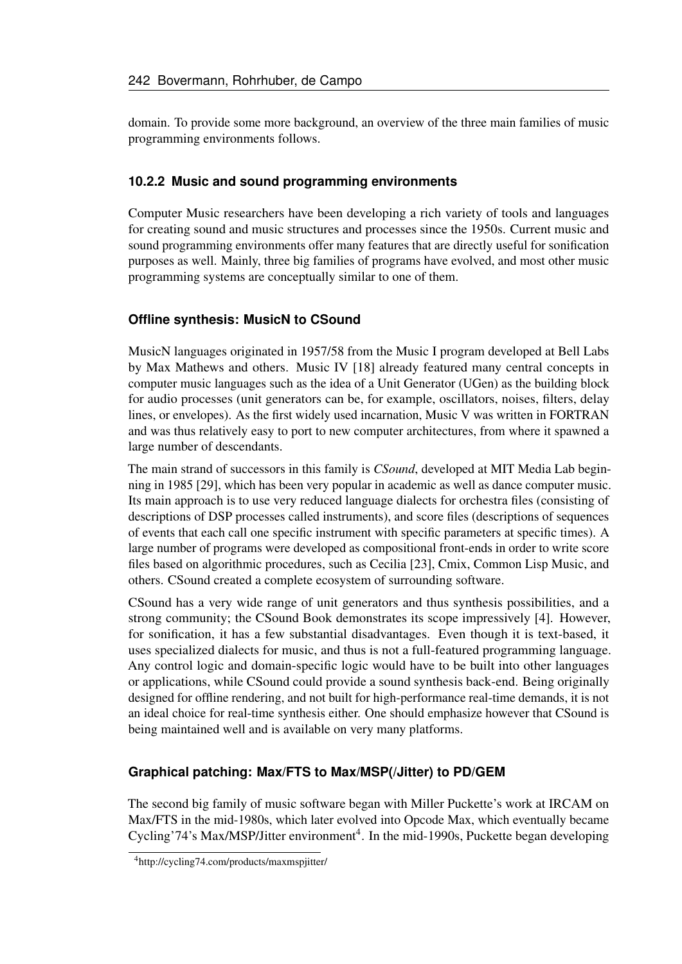domain. To provide some more background, an overview of the three main families of music programming environments follows.

# **10.2.2 Music and sound programming environments**

Computer Music researchers have been developing a rich variety of tools and languages for creating sound and music structures and processes since the 1950s. Current music and sound programming environments offer many features that are directly useful for sonification purposes as well. Mainly, three big families of programs have evolved, and most other music programming systems are conceptually similar to one of them.

# **Offline synthesis: MusicN to CSound**

MusicN languages originated in 1957/58 from the Music I program developed at Bell Labs by Max Mathews and others. Music IV [18] already featured many central concepts in computer music languages such as the idea of a Unit Generator (UGen) as the building block for audio processes (unit generators can be, for example, oscillators, noises, filters, delay lines, or envelopes). As the first widely used incarnation, Music V was written in FORTRAN and was thus relatively easy to port to new computer architectures, from where it spawned a large number of descendants.

The main strand of successors in this family is *CSound*, developed at MIT Media Lab beginning in 1985 [29], which has been very popular in academic as well as dance computer music. Its main approach is to use very reduced language dialects for orchestra files (consisting of descriptions of DSP processes called instruments), and score files (descriptions of sequences of events that each call one specific instrument with specific parameters at specific times). A large number of programs were developed as compositional front-ends in order to write score files based on algorithmic procedures, such as Cecilia [23], Cmix, Common Lisp Music, and others. CSound created a complete ecosystem of surrounding software.

CSound has a very wide range of unit generators and thus synthesis possibilities, and a strong community; the CSound Book demonstrates its scope impressively [4]. However, for sonification, it has a few substantial disadvantages. Even though it is text-based, it uses specialized dialects for music, and thus is not a full-featured programming language. Any control logic and domain-specific logic would have to be built into other languages or applications, while CSound could provide a sound synthesis back-end. Being originally designed for offline rendering, and not built for high-performance real-time demands, it is not an ideal choice for real-time synthesis either. One should emphasize however that CSound is being maintained well and is available on very many platforms.

# **Graphical patching: Max/FTS to Max/MSP(/Jitter) to PD/GEM**

The second big family of music software began with Miller Puckette's work at IRCAM on Max/FTS in the mid-1980s, which later evolved into Opcode Max, which eventually became Cycling'74's Max/MSP/Jitter environment<sup>4</sup>. In the mid-1990s, Puckette began developing

<sup>4</sup>http://cycling74.com/products/maxmspjitter/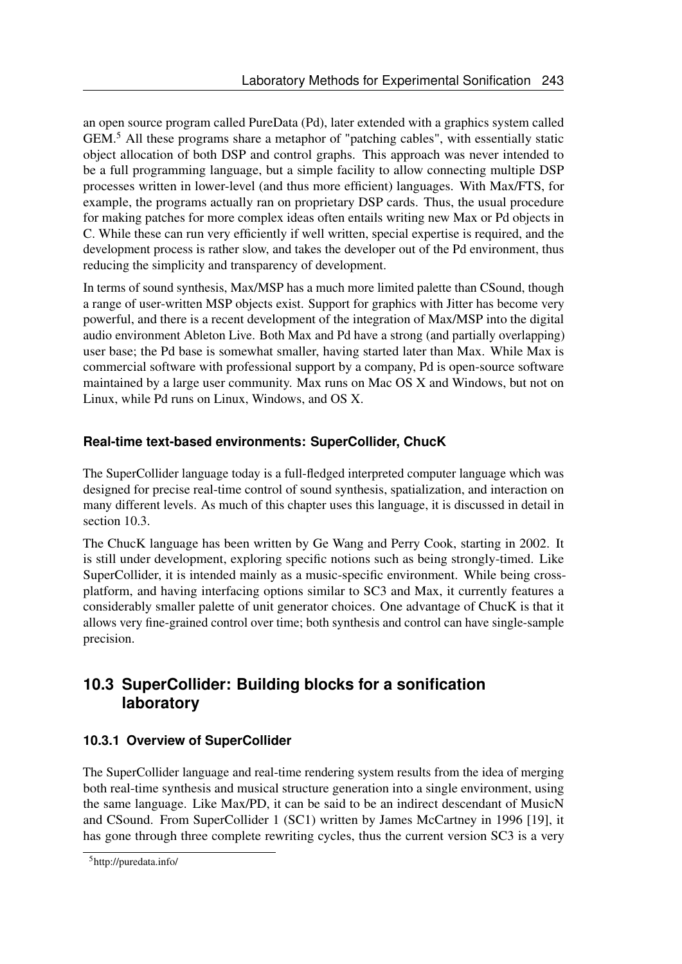an open source program called PureData (Pd), later extended with a graphics system called GEM.<sup>5</sup> All these programs share a metaphor of "patching cables", with essentially static object allocation of both DSP and control graphs. This approach was never intended to be a full programming language, but a simple facility to allow connecting multiple DSP processes written in lower-level (and thus more efficient) languages. With Max/FTS, for example, the programs actually ran on proprietary DSP cards. Thus, the usual procedure for making patches for more complex ideas often entails writing new Max or Pd objects in C. While these can run very efficiently if well written, special expertise is required, and the development process is rather slow, and takes the developer out of the Pd environment, thus reducing the simplicity and transparency of development.

In terms of sound synthesis, Max/MSP has a much more limited palette than CSound, though a range of user-written MSP objects exist. Support for graphics with Jitter has become very powerful, and there is a recent development of the integration of Max/MSP into the digital audio environment Ableton Live. Both Max and Pd have a strong (and partially overlapping) user base; the Pd base is somewhat smaller, having started later than Max. While Max is commercial software with professional support by a company, Pd is open-source software maintained by a large user community. Max runs on Mac OS X and Windows, but not on Linux, while Pd runs on Linux, Windows, and OS X.

# **Real-time text-based environments: SuperCollider, ChucK**

The SuperCollider language today is a full-fledged interpreted computer language which was designed for precise real-time control of sound synthesis, spatialization, and interaction on many different levels. As much of this chapter uses this language, it is discussed in detail in section 10.3.

The ChucK language has been written by Ge Wang and Perry Cook, starting in 2002. It is still under development, exploring specific notions such as being strongly-timed. Like SuperCollider, it is intended mainly as a music-specific environment. While being crossplatform, and having interfacing options similar to SC3 and Max, it currently features a considerably smaller palette of unit generator choices. One advantage of ChucK is that it allows very fine-grained control over time; both synthesis and control can have single-sample precision.

# **10.3 SuperCollider: Building blocks for a sonification laboratory**

# **10.3.1 Overview of SuperCollider**

The SuperCollider language and real-time rendering system results from the idea of merging both real-time synthesis and musical structure generation into a single environment, using the same language. Like Max/PD, it can be said to be an indirect descendant of MusicN and CSound. From SuperCollider 1 (SC1) written by James McCartney in 1996 [19], it has gone through three complete rewriting cycles, thus the current version SC3 is a very

<sup>5</sup>http://puredata.info/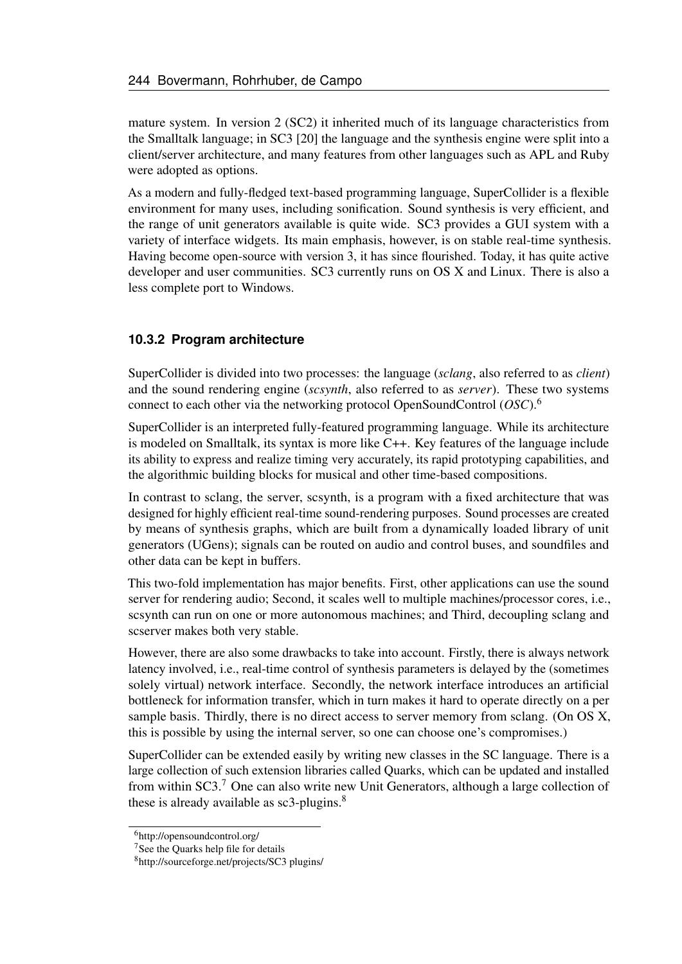mature system. In version 2 (SC2) it inherited much of its language characteristics from the Smalltalk language; in SC3 [20] the language and the synthesis engine were split into a client/server architecture, and many features from other languages such as APL and Ruby were adopted as options.

As a modern and fully-fledged text-based programming language, SuperCollider is a flexible environment for many uses, including sonification. Sound synthesis is very efficient, and the range of unit generators available is quite wide. SC3 provides a GUI system with a variety of interface widgets. Its main emphasis, however, is on stable real-time synthesis. Having become open-source with version 3, it has since flourished. Today, it has quite active developer and user communities. SC3 currently runs on OS X and Linux. There is also a less complete port to Windows.

### **10.3.2 Program architecture**

SuperCollider is divided into two processes: the language (*sclang*, also referred to as *client*) and the sound rendering engine (*scsynth*, also referred to as *server*). These two systems connect to each other via the networking protocol OpenSoundControl (*OSC*).6

SuperCollider is an interpreted fully-featured programming language. While its architecture is modeled on Smalltalk, its syntax is more like C++. Key features of the language include its ability to express and realize timing very accurately, its rapid prototyping capabilities, and the algorithmic building blocks for musical and other time-based compositions.

In contrast to sclang, the server, scsynth, is a program with a fixed architecture that was designed for highly efficient real-time sound-rendering purposes. Sound processes are created by means of synthesis graphs, which are built from a dynamically loaded library of unit generators (UGens); signals can be routed on audio and control buses, and soundfiles and other data can be kept in buffers.

This two-fold implementation has major benefits. First, other applications can use the sound server for rendering audio; Second, it scales well to multiple machines/processor cores, i.e., scsynth can run on one or more autonomous machines; and Third, decoupling sclang and scserver makes both very stable.

However, there are also some drawbacks to take into account. Firstly, there is always network latency involved, i.e., real-time control of synthesis parameters is delayed by the (sometimes solely virtual) network interface. Secondly, the network interface introduces an artificial bottleneck for information transfer, which in turn makes it hard to operate directly on a per sample basis. Thirdly, there is no direct access to server memory from sclang. (On OS X, this is possible by using the internal server, so one can choose one's compromises.)

SuperCollider can be extended easily by writing new classes in the SC language. There is a large collection of such extension libraries called Quarks, which can be updated and installed from within SC3.7 One can also write new Unit Generators, although a large collection of these is already available as sc3-plugins.<sup>8</sup>

<sup>6</sup>http://opensoundcontrol.org/

<sup>7</sup>See the Quarks help file for details

<sup>8</sup>http://sourceforge.net/projects/SC3 plugins/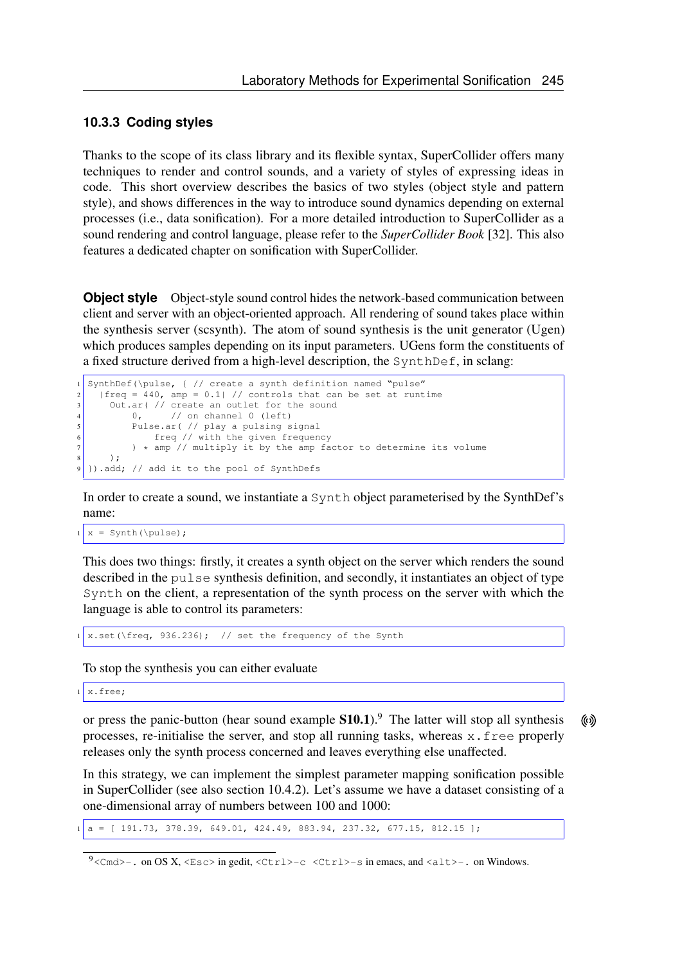# **10.3.3 Coding styles**

Thanks to the scope of its class library and its flexible syntax, SuperCollider offers many techniques to render and control sounds, and a variety of styles of expressing ideas in code. This short overview describes the basics of two styles (object style and pattern style), and shows differences in the way to introduce sound dynamics depending on external processes (i.e., data sonification). For a more detailed introduction to SuperCollider as a sound rendering and control language, please refer to the *SuperCollider Book* [32]. This also features a dedicated chapter on sonification with SuperCollider.

**Object style** Object-style sound control hides the network-based communication between client and server with an object-oriented approach. All rendering of sound takes place within the synthesis server (scsynth). The atom of sound synthesis is the unit generator (Ugen) which produces samples depending on its input parameters. UGens form the constituents of a fixed structure derived from a high-level description, the SynthDef, in sclang:

```
1 SynthDef(\pulse, { // create a synth definition named "pulse"
2 \int \frac{1}{2} \text{Treq} = 440, amp = 0.1| // controls that can be set at runtime out.ar( // create an outlet for the sound
      Out.ar( // create an outlet for the sound
4 0, // on channel 0 (left)
5 Pulse.ar ( // play a pulsing signal
6 freq // with the given frequency
7 \choose 8 ) * amp // multiply it by the amp factor to determine its volume
      \cdot;
9 }).add; // add it to the pool of SynthDefs
```
In order to create a sound, we instantiate a Synth object parameterised by the SynthDef's name:

 $x =$  Synth(\pulse);

This does two things: firstly, it creates a synth object on the server which renders the sound described in the pulse synthesis definition, and secondly, it instantiates an object of type Synth on the client, a representation of the synth process on the server with which the language is able to control its parameters:

x.set(\freq, 936.236); // set the frequency of the Synth

To stop the synthesis you can either evaluate

x.free;

or press the panic-button (hear sound example  $S10.1$ ).<sup>9</sup> The latter will stop all synthesis (①) processes, re-initialise the server, and stop all running tasks, whereas x.free properly releases only the synth process concerned and leaves everything else unaffected.

In this strategy, we can implement the simplest parameter mapping sonification possible in SuperCollider (see also section 10.4.2). Let's assume we have a dataset consisting of a one-dimensional array of numbers between 100 and 1000:

 $a = [ 191.73, 378.39, 649.01, 424.49, 883.94, 237.32, 677.15, 812.15 ]$ ;

 $9$  <Cmd>-. on OS X, <Esc> in gedit, <Ctrl>-c <Ctrl>-s in emacs, and <alt>-. on Windows.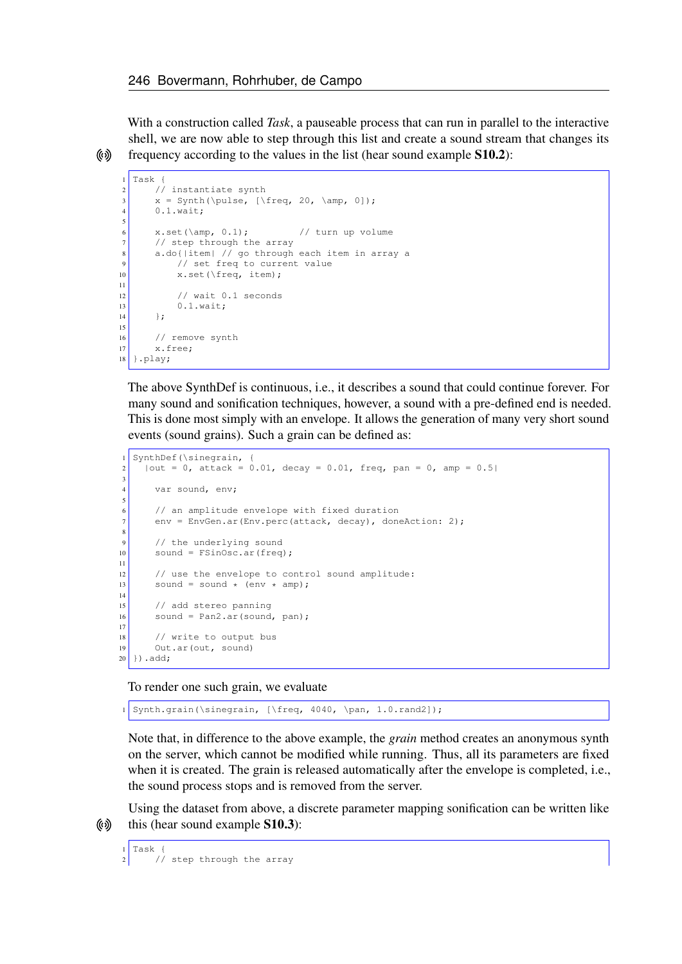((0))

With a construction called *Task*, a pauseable process that can run in parallel to the interactive shell, we are now able to step through this list and create a sound stream that changes its frequency according to the values in the list (hear sound example S10.2):

```
1 Task {
2 // instantiate synth
3 x = Synth(\pulse, [\freq, 20, \amp, 0]);
4 \times 0.1. wait:
5
6 x.set(\amp; 0.1); // turn up volume
7 // step through the array
     a.do{|item| // go through each item in array a
9 // set freq to current value
10 x.set(\frac{1}{em});
11
12 // wait 0.1 seconds
13 0.1.wait:
14 };
15
16 // remove synth
17 x.free;
18 }.play;
```
The above SynthDef is continuous, i.e., it describes a sound that could continue forever. For many sound and sonification techniques, however, a sound with a pre-defined end is needed. This is done most simply with an envelope. It allows the generation of many very short sound events (sound grains). Such a grain can be defined as:

```
1 SynthDef(\sinegrain, {
2 | \text{out} = 0, attack = 0.01, decay = 0.01, freq, pan = 0, amp = 0.5|
3
4 var sound, env:
5
\begin{array}{ll} \n6 & // \text{ an amplitude envelope with fixed duration} \\ \n7 & \text{env} = \text{EnvGen}.\n\end{array}env = EnvGen.ar(Env.perc(attack, decay), doneAction: 2);
8
9 // the underlying sound
10 sound = FSinOsc.ar(freq);
11
12 // use the envelope to control sound amplitude:
13 sound = sound * (env * amp);
14
15 // add stereo panning
16 sound = Pan2.ar (sound, pan);
17
18 // write to output bus
19 Out.ar(out, sound)
20 }).add;
```
To render one such grain, we evaluate

 $1 \text{ Symb}.$ grain(\sinegrain, [\freq, 4040, \pan, 1.0.rand2]);

Note that, in difference to the above example, the *grain* method creates an anonymous synth on the server, which cannot be modified while running. Thus, all its parameters are fixed when it is created. The grain is released automatically after the envelope is completed, i.e., the sound process stops and is removed from the server.

Using the dataset from above, a discrete parameter mapping sonification can be written like this (hear sound example S10.3):

```
1 Task {
2 // step through the array
```
(⊗)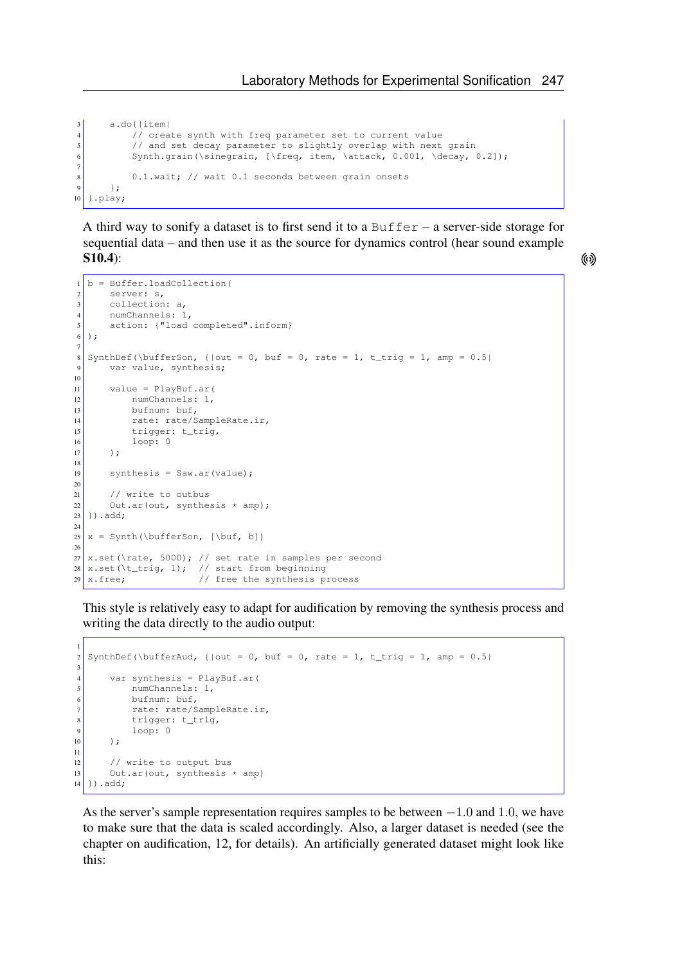```
\begin{array}{c|c} 3 & \text{a.do} \{ | \text{item} | \\ 4 & // \text{ crea} \end{array}4 // create synth with freq parameter set to current value
5 // and set decay parameter to slightly overlap with next grain
6 Synth.grain(\sinegrain, [\freq, item, \attack, 0.001, \decay, 0.2]);
7
8 0.1.wait; // wait 0.1 seconds between grain onsets
9 }:
10 }.play;
```
A third way to sonify a dataset is to first send it to a  $Buffer - a server-side storage for$ sequential data – and then use it as the source for dynamics control (hear sound example S10.4):

(《》)

```
1 \mid b = Buffer. loadCollection (
2 server: s,
3 collection: a,
4 numChannels: 1,
5 action: {"load completed".inform}
6 );
7
8 SynthDef(\bufferSon, {|out = 0, buf = 0, rate = 1, t_triq = 1, amp = 0.5|
9 var value, synthesis;
10
11 value = Player12 numChannels: 1,
13 bufnum: buf,
14 rate: rate/SampleRate.ir,
15 trigger: t_trig,
16 loop: 0
17 );
18
19 \vert synthesis = Saw.ar (value);
20
21 // write to outbus
22 Out.ar(out, synthesis * amp);
23 }).add;
24
25 \times = Synth(\bufferSon, [\buf, b])
26
27 \times . set(\rate, 5000); // set rate in samples per second
28 \times . set(\t_trig, 1); // start from beginning
29 \mid x \text{.} free; \frac{1}{29} // free the synthesis process
```
This style is relatively easy to adapt for audification by removing the synthesis process and writing the data directly to the audio output:

```
2 SynthDef(\bufferAud, {|out = 0, buf = 0, rate = 1, t_triq = 1, amp = 0.5|
3
4 var synthesis = PlayBuf.ar(
5 numChannels: 1,
6 bufnum: buf,
7 rate: rate/SampleRate.ir,
8 trigger: t_trig,
9 loop: 0
10 );
11
12 // write to output bus
13 Out.ar(out, synthesis \star amp)<br>14 }).add;
  14 }).add;
```
1

As the server's sample representation requires samples to be between  $-1.0$  and 1.0, we have to make sure that the data is scaled accordingly. Also, a larger dataset is needed (see the chapter on audification, 12, for details). An artificially generated dataset might look like this: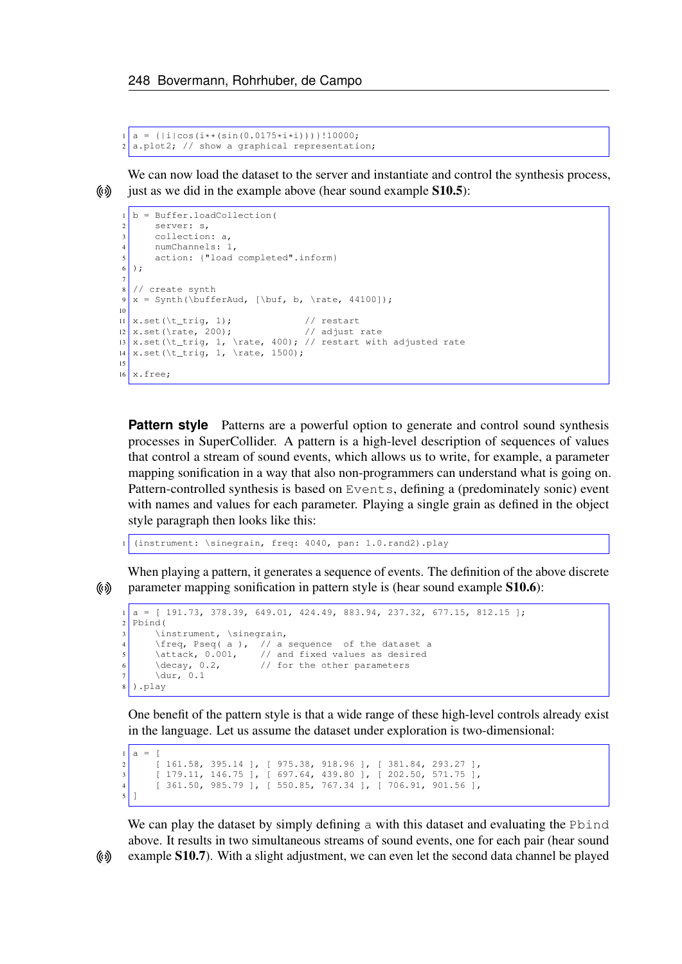```
1 \text{ a} = \{ \text{li} \cos(i \cdot \text{*} \cdot (\sin(0.0175 \cdot \text{i} \cdot \text{*}i))) \} !10000;2 \mid a.plot2; // show a graphical representation;
```
We can now load the dataset to the server and instantiate and control the synthesis process, just as we did in the example above (hear sound example S10.5):

```
1/b = Buffer. loadCollection (
2<sup>Server:</sup> s.
3 collection: a,
4 numChannels: 1,<br>
action: {"load
       action: {"load completed".inform}
6 ) ;
7
8 // create synth
9 \mid x = \text{Subdifferentud}, \text{ but, b, \text{= } 44100}10
11 \times .set(\text{trig}, 1);<br>
12 \times .set(\text{rate}, 200);<br>
// adjust rate
12 x.set(\rate, 200);
13 x.set(\t_trig, 1, \rate, 400); // restart with adjusted rate
14 x.set(\t\times, 1, \t\t\t rate, 1500);15
16 x.free;
```
**Pattern style** Patterns are a powerful option to generate and control sound synthesis processes in SuperCollider. A pattern is a high-level description of sequences of values that control a stream of sound events, which allows us to write, for example, a parameter mapping sonification in a way that also non-programmers can understand what is going on. Pattern-controlled synthesis is based on Events, defining a (predominately sonic) event with names and values for each parameter. Playing a single grain as defined in the object style paragraph then looks like this:

(instrument: \sinegrain, freq: 4040, pan: 1.0.rand2).play

When playing a pattern, it generates a sequence of events. The definition of the above discrete parameter mapping sonification in pattern style is (hear sound example S10.6): ((0))

```
1 \text{ a} = [ 191.73, 378.39, 649.01, 424.49, 883.94, 237.32, 677.15, 812.15 ]2 Pbind (
3 \instrument, \sinegrain,
4 \times 4 \freq, Pseq( a ), // a sequence of the dataset a
5 \attack, 0.001, \left| // and fixed values as desired
6 \doteq \Delta \Delta, 0.2, \Delta // for the other parameters
7 \dur, 0.1
  8 ).play
```
One benefit of the pattern style is that a wide range of these high-level controls already exist in the language. Let us assume the dataset under exploration is two-dimensional:

 $1$  a =  $\boxed{2}$  [ 161.58, 395.14 ], [ 975.38, 918.96 ], [ 381.84, 293.27 ], 3 [ 179.11, 146.75 ], [ 697.64, 439.80 ], [ 202.50, 571.75 ], 4 [ 361.50, 985.79 ], [ 550.85, 767.34 ], [ 706.91, 901.56 ],  $5$  ]

We can play the dataset by simply defining a with this dataset and evaluating the Pbind above. It results in two simultaneous streams of sound events, one for each pair (hear sound example S10.7). With a slight adjustment, we can even let the second data channel be played

(①)

(①)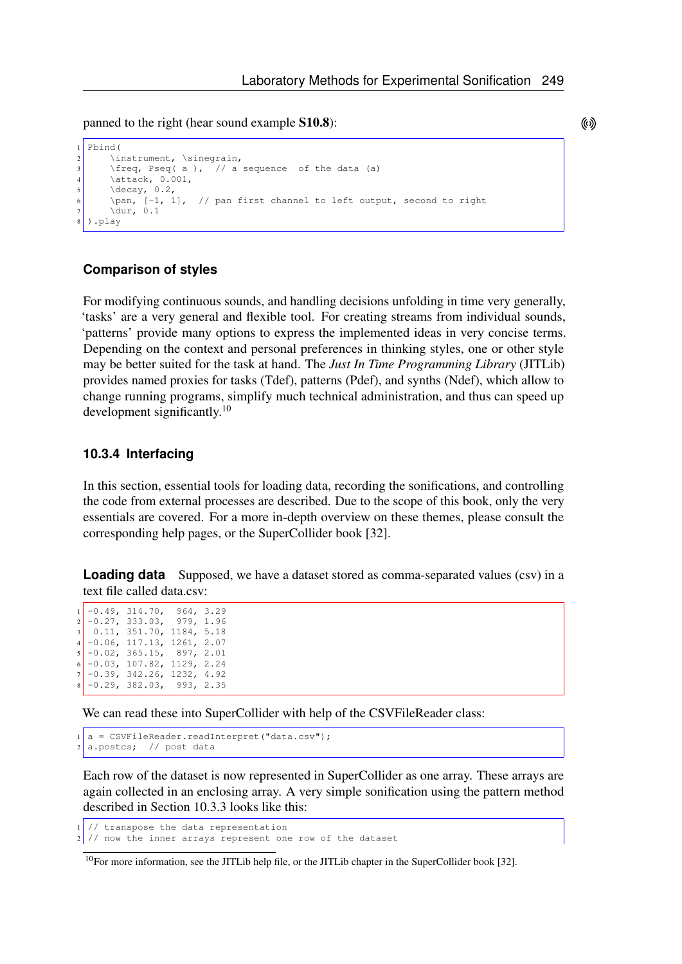panned to the right (hear sound example S10.8):

```
1 Pbind(
|2| \instrument, \sinegrain,
3 \freq, Pseq( a ), // a sequence of the data (a)
|4| \attack, 0.001,
5 \decay, 0.2,
6 \pan, [-1, 1], // pan first channel to left output, second to right
7 \dur, 0.1
  ).play
```
#### **Comparison of styles**

For modifying continuous sounds, and handling decisions unfolding in time very generally, 'tasks' are a very general and flexible tool. For creating streams from individual sounds, 'patterns' provide many options to express the implemented ideas in very concise terms. Depending on the context and personal preferences in thinking styles, one or other style may be better suited for the task at hand. The *Just In Time Programming Library* (JITLib) provides named proxies for tasks (Tdef), patterns (Pdef), and synths (Ndef), which allow to change running programs, simplify much technical administration, and thus can speed up development significantly.<sup>10</sup>

#### **10.3.4 Interfacing**

In this section, essential tools for loading data, recording the sonifications, and controlling the code from external processes are described. Due to the scope of this book, only the very essentials are covered. For a more in-depth overview on these themes, please consult the corresponding help pages, or the SuperCollider book [32].

**Loading data** Supposed, we have a dataset stored as comma-separated values (csv) in a text file called data.csv:

 $1 \begin{array}{|l} -0.49, 314.70, 964, 3.29 \end{array}$  $2 \Big| -0.27, 333.03, 979, 1.96$ 3 0.11, 351.70, 1184, 5.18  $4$  -0.06, 117.13, 1261, 2.07  $5 -0.02$ , 365.15, 897, 2.01  $6$  -0.03, 107.82, 1129, 2.24  $7 -0.39, 342.26, 1232, 4.92$  $-0.29, 382.03, 993, 2.35$ 

We can read these into SuperCollider with help of the CSVFileReader class:

```
a = \text{CSVFileReader.readInterpret}(\text{"data.csv"});2 a.postcs: // post data
```
Each row of the dataset is now represented in SuperCollider as one array. These arrays are again collected in an enclosing array. A very simple sonification using the pattern method described in Section 10.3.3 looks like this:

```
1 // transpose the data representation
2^{1}/ now the inner arrays represent one row of the dataset
```
⑹

<sup>&</sup>lt;sup>10</sup>For more information, see the JITLib help file, or the JITLib chapter in the SuperCollider book [32].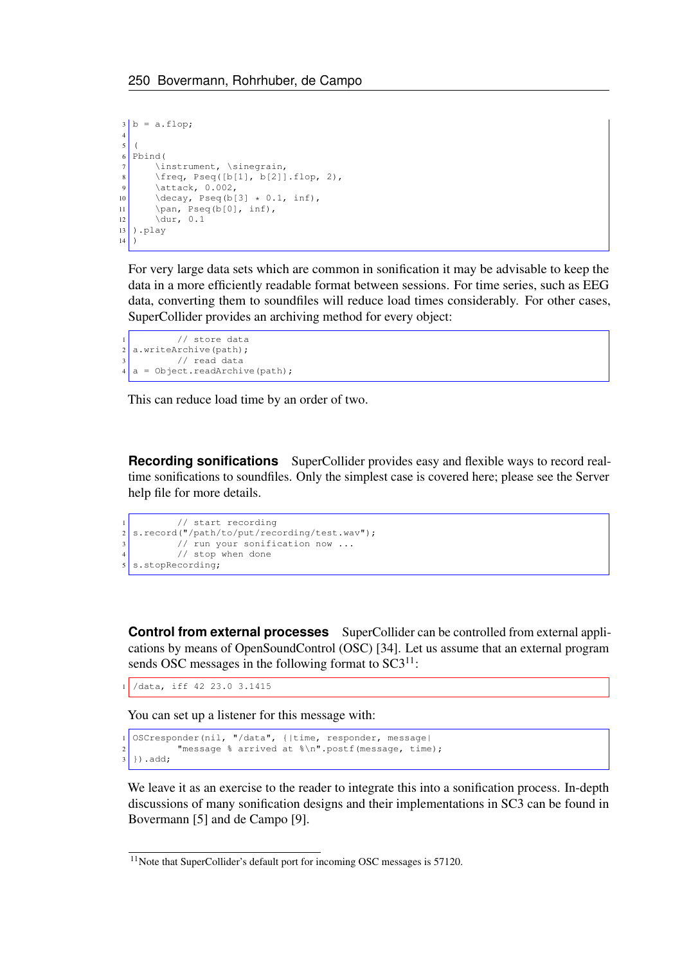```
3 \mid b = a.flop;
4
5 (
6 Phind(
7 \instrument, \sinegrain,
|8| \freq, Pseq([b[1], b[2]].flop, 2),
9 \attack, 0.002,
10 \begin{bmatrix} 10 \\ \text{decay, } P \text{seq}(b[3] \times 0.1, inf), \\ 11 \end{bmatrix}\pan, Pseq(b[0], inf),
12 \mid \text{dur, } 0.113 ).play
14 )
```
For very large data sets which are common in sonification it may be advisable to keep the data in a more efficiently readable format between sessions. For time series, such as EEG data, converting them to soundfiles will reduce load times considerably. For other cases, SuperCollider provides an archiving method for every object:

```
// store data
2 a.writeArchive(path);
3 // read data
4 \mid a = 0bject.readArchive(path);
```
This can reduce load time by an order of two.

**Recording sonifications** SuperCollider provides easy and flexible ways to record realtime sonifications to soundfiles. Only the simplest case is covered here; please see the Server help file for more details.

```
// start recording
2 s.record("/path/to/put/recording/test.wav");
3 // run your sonification now ...
4 // stop when done
5 s.stopRecording;
```
**Control from external processes** SuperCollider can be controlled from external applications by means of OpenSoundControl (OSC) [34]. Let us assume that an external program sends OSC messages in the following format to  $SC3<sup>11</sup>$ :

```
/data, iff 42 23.0 3.1415
```
You can set up a listener for this message with:

```
OSCresponder(nil, "/data", {|time, responder, message|
          "message % arrived at %\n".postf(message, time);
3 } ).add;
```
We leave it as an exercise to the reader to integrate this into a sonification process. In-depth discussions of many sonification designs and their implementations in SC3 can be found in Bovermann [5] and de Campo [9].

<sup>&</sup>lt;sup>11</sup>Note that SuperCollider's default port for incoming OSC messages is 57120.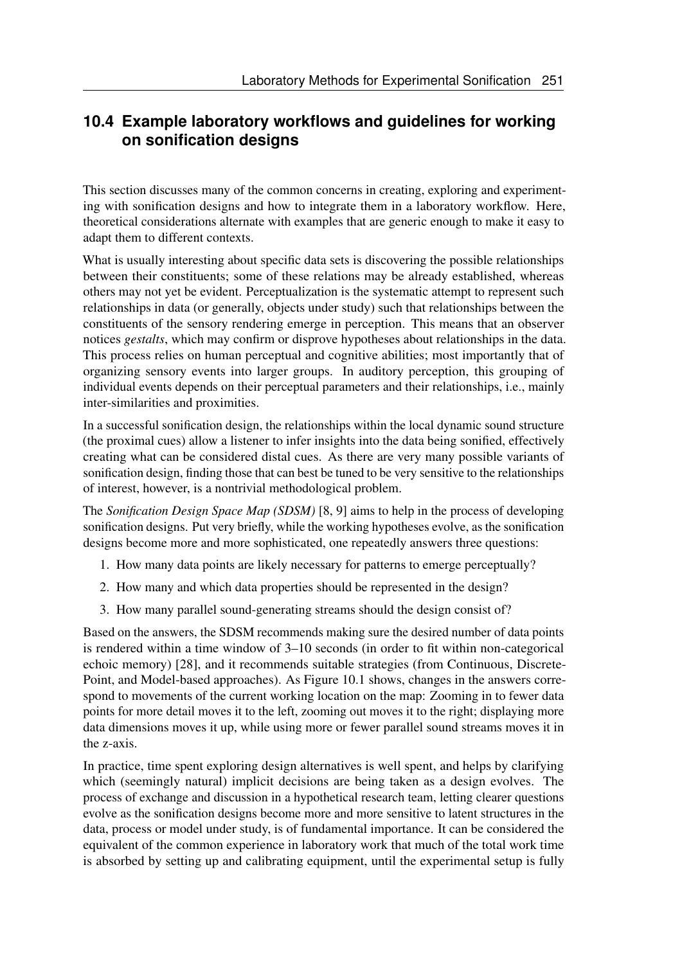# **10.4 Example laboratory workflows and guidelines for working on sonification designs**

This section discusses many of the common concerns in creating, exploring and experimenting with sonification designs and how to integrate them in a laboratory workflow. Here, theoretical considerations alternate with examples that are generic enough to make it easy to adapt them to different contexts.

What is usually interesting about specific data sets is discovering the possible relationships between their constituents; some of these relations may be already established, whereas others may not yet be evident. Perceptualization is the systematic attempt to represent such relationships in data (or generally, objects under study) such that relationships between the constituents of the sensory rendering emerge in perception. This means that an observer notices *gestalts*, which may confirm or disprove hypotheses about relationships in the data. This process relies on human perceptual and cognitive abilities; most importantly that of organizing sensory events into larger groups. In auditory perception, this grouping of individual events depends on their perceptual parameters and their relationships, i.e., mainly inter-similarities and proximities.

In a successful sonification design, the relationships within the local dynamic sound structure (the proximal cues) allow a listener to infer insights into the data being sonified, effectively creating what can be considered distal cues. As there are very many possible variants of sonification design, finding those that can best be tuned to be very sensitive to the relationships of interest, however, is a nontrivial methodological problem.

The *Sonification Design Space Map (SDSM)* [8, 9] aims to help in the process of developing sonification designs. Put very briefly, while the working hypotheses evolve, as the sonification designs become more and more sophisticated, one repeatedly answers three questions:

- 1. How many data points are likely necessary for patterns to emerge perceptually?
- 2. How many and which data properties should be represented in the design?
- 3. How many parallel sound-generating streams should the design consist of?

Based on the answers, the SDSM recommends making sure the desired number of data points is rendered within a time window of 3–10 seconds (in order to fit within non-categorical echoic memory) [28], and it recommends suitable strategies (from Continuous, Discrete-Point, and Model-based approaches). As Figure 10.1 shows, changes in the answers correspond to movements of the current working location on the map: Zooming in to fewer data points for more detail moves it to the left, zooming out moves it to the right; displaying more data dimensions moves it up, while using more or fewer parallel sound streams moves it in the z-axis.

In practice, time spent exploring design alternatives is well spent, and helps by clarifying which (seemingly natural) implicit decisions are being taken as a design evolves. The process of exchange and discussion in a hypothetical research team, letting clearer questions evolve as the sonification designs become more and more sensitive to latent structures in the data, process or model under study, is of fundamental importance. It can be considered the equivalent of the common experience in laboratory work that much of the total work time is absorbed by setting up and calibrating equipment, until the experimental setup is fully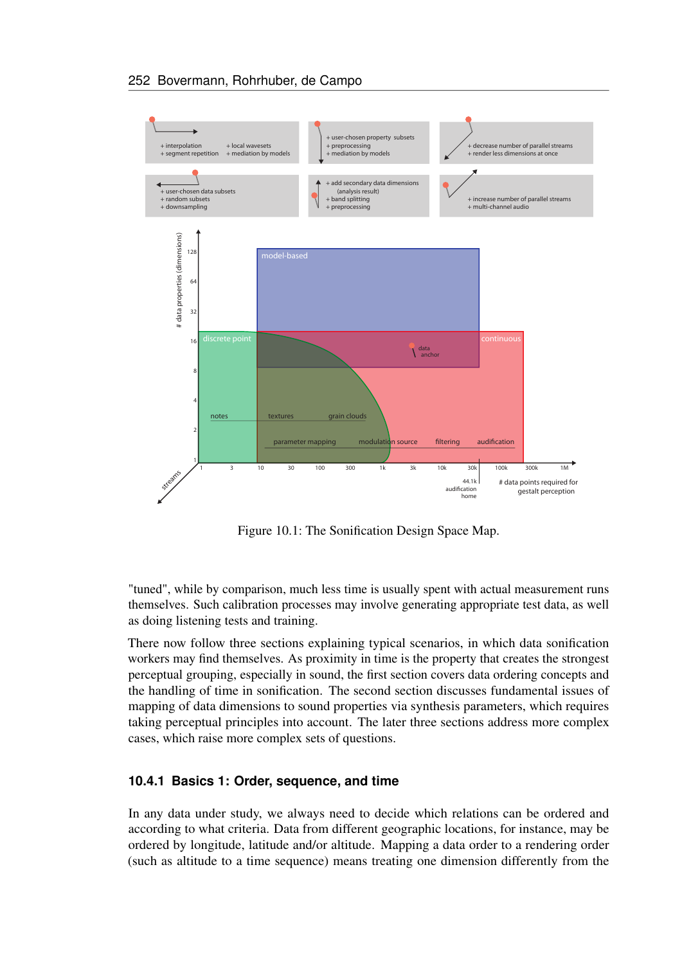

Figure 10.1: The Sonification Design Space Map.

"tuned", while by comparison, much less time is usually spent with actual measurement runs themselves. Such calibration processes may involve generating appropriate test data, as well as doing listening tests and training.

There now follow three sections explaining typical scenarios, in which data sonification workers may find themselves. As proximity in time is the property that creates the strongest perceptual grouping, especially in sound, the first section covers data ordering concepts and the handling of time in sonification. The second section discusses fundamental issues of mapping of data dimensions to sound properties via synthesis parameters, which requires taking perceptual principles into account. The later three sections address more complex cases, which raise more complex sets of questions.

# **10.4.1 Basics 1: Order, sequence, and time**

In any data under study, we always need to decide which relations can be ordered and according to what criteria. Data from different geographic locations, for instance, may be ordered by longitude, latitude and/or altitude. Mapping a data order to a rendering order (such as altitude to a time sequence) means treating one dimension differently from the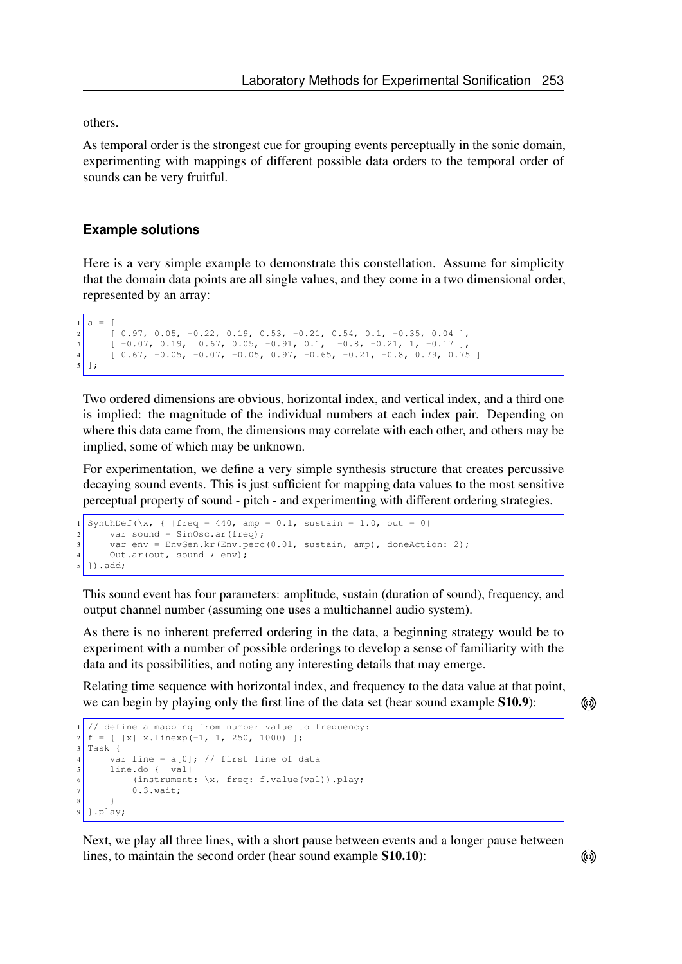others.

As temporal order is the strongest cue for grouping events perceptually in the sonic domain, experimenting with mappings of different possible data orders to the temporal order of sounds can be very fruitful.

# **Example solutions**

Here is a very simple example to demonstrate this constellation. Assume for simplicity that the domain data points are all single values, and they come in a two dimensional order, represented by an array:

```
1<sub>a</sub>2 [ 0.97, 0.05, -0.22, 0.19, 0.53, -0.21, 0.54, 0.1, -0.35, 0.04 ],
\frac{3}{1} [ -0.07, 0.19, 0.67, 0.05, -0.91, 0.1, -0.8, -0.21, 1, -0.17 ],
4 [ 0.67, -0.05, -0.07, -0.05, 0.97, -0.65, -0.21, -0.8, 0.79, 0.75 ]5];
```
Two ordered dimensions are obvious, horizontal index, and vertical index, and a third one is implied: the magnitude of the individual numbers at each index pair. Depending on where this data came from, the dimensions may correlate with each other, and others may be implied, some of which may be unknown.

For experimentation, we define a very simple synthesis structure that creates percussive decaying sound events. This is just sufficient for mapping data values to the most sensitive perceptual property of sound - pitch - and experimenting with different ordering strategies.

```
SynthDef(\x, { |freq = 440, amp = 0.1, sustain = 1.0, out = 0|
2 \times 2 var sound = SinOsc.ar(freq);
3 var env = EnvGen.kr(Env.perc(0.01, sustain, amp), doneAction: 2);
4 Out.ar(out, sound * env);<br>5 \), add:
  5 }).add;
```
This sound event has four parameters: amplitude, sustain (duration of sound), frequency, and output channel number (assuming one uses a multichannel audio system).

As there is no inherent preferred ordering in the data, a beginning strategy would be to experiment with a number of possible orderings to develop a sense of familiarity with the data and its possibilities, and noting any interesting details that may emerge.

Relating time sequence with horizontal index, and frequency to the data value at that point, we can begin by playing only the first line of the data set (hear sound example S10.9):

(《》)

```
1 // define a mapping from number value to frequency:
2 \mid f = \{ |x| \; x \ldots \; x \in (-1, 1, 250, 1000) \}\begin{array}{c|cc}\n 3 & \text{Task} & \{ \\
 4 & & \text{Va}\n \end{array}var line = a[0]; // first line of data
5 line.do { |val|
6 (instrument: \{x, freq: f.value(val)\}. play;
7 0.3.wait:
8 }
9 }.play;
```
Next, we play all three lines, with a short pause between events and a longer pause between lines, to maintain the second order (hear sound example S10.10):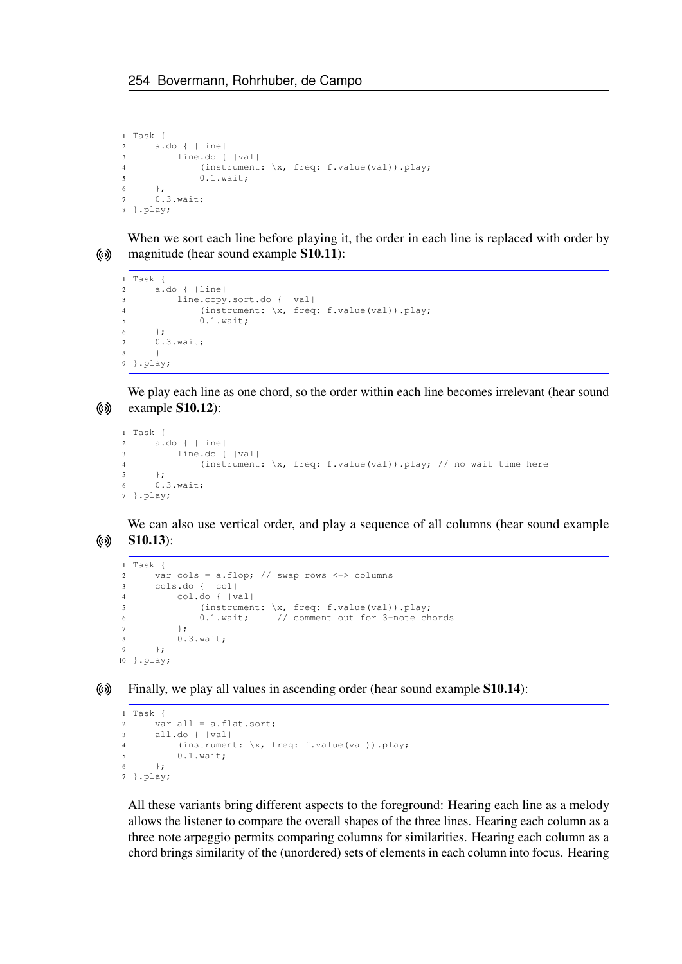```
1 Task \{\begin{array}{c|c} 2 & \text{a.do} & \text{linel} \\ 3 & \text{line.do} & \end{array}3 line.do { |val|<br>4 (instrument
                     (instrument: \{x, \text{freq: } f.value(val)\}.play;
5 0.1.wait;
6 },
7 \mid 0.3 \text{.} wait;
   8 }.play;
```
When we sort each line before playing it, the order in each line is replaced with order by (⑷) magnitude (hear sound example S10.11):

```
1 Task {
|2| a.do { |1ine]
3 line.copy.sort.do { |val|
4 (instrument: \x, freq: f.value(val)).play;
5 0.1.wait;
6 };
7 \mid 0.3. wait:
8 }
 9 }.play;
```
We play each line as one chord, so the order within each line becomes irrelevant (hear sound (①) example S10.12):

```
1 Task {
2 \mid a.do { |line |3 line.do { |val|
4 (instrument: \x, freq: f.value(val)).play; // no wait time here
5 };
6 0.3.wait;
  7 }.play;
```
We can also use vertical order, and play a sequence of all columns (hear sound example S10.13):

```
(⑵)
```

```
1 Task {
|2| var cols = a.flop; // swap rows <-> columns
3 cols.do { |col|4 col.do { |val|
5 (instrument: \x, freq: f.value(val)).play;<br>0.1.wait: // comment.out.for 3-note.ch
6 0.1.wait; // comment out for 3-note chords
7 };
8 \mid 0.3 \text{.wait}9 \mid 3;10 }.play;
```
(①) Finally, we play all values in ascending order (hear sound example S10.14):

```
1 Task {
|2| var all = a.flat.sort;
3 all.do { |val|4 (instrument: \x, freq: f.value(val)).play;
5 0.1.wait;
6 };
7 }.play;
```
All these variants bring different aspects to the foreground: Hearing each line as a melody allows the listener to compare the overall shapes of the three lines. Hearing each column as a three note arpeggio permits comparing columns for similarities. Hearing each column as a chord brings similarity of the (unordered) sets of elements in each column into focus. Hearing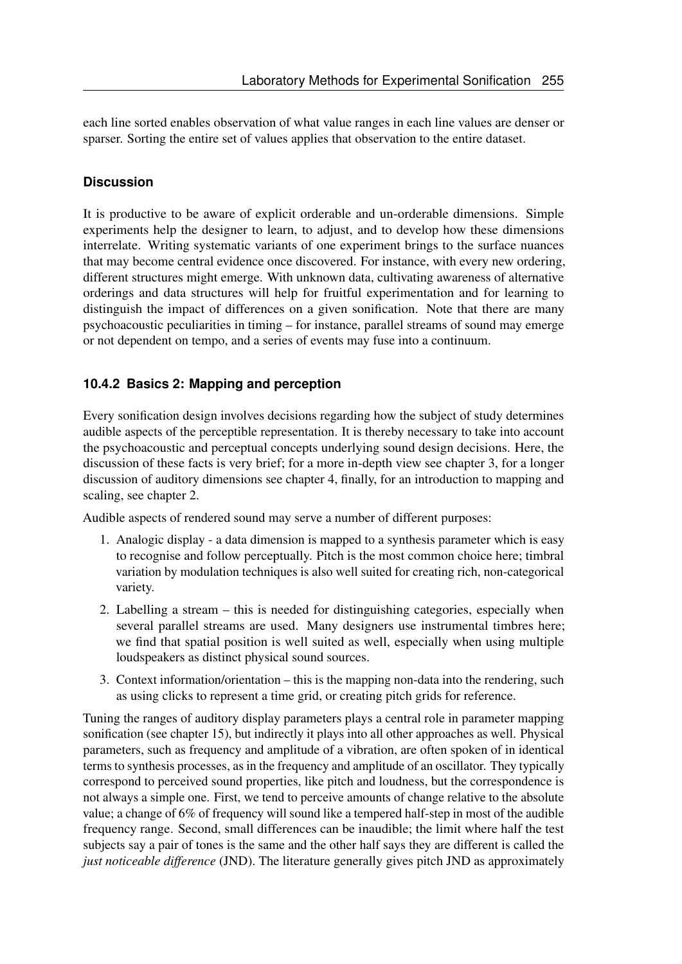each line sorted enables observation of what value ranges in each line values are denser or sparser. Sorting the entire set of values applies that observation to the entire dataset.

# **Discussion**

It is productive to be aware of explicit orderable and un-orderable dimensions. Simple experiments help the designer to learn, to adjust, and to develop how these dimensions interrelate. Writing systematic variants of one experiment brings to the surface nuances that may become central evidence once discovered. For instance, with every new ordering, different structures might emerge. With unknown data, cultivating awareness of alternative orderings and data structures will help for fruitful experimentation and for learning to distinguish the impact of differences on a given sonification. Note that there are many psychoacoustic peculiarities in timing – for instance, parallel streams of sound may emerge or not dependent on tempo, and a series of events may fuse into a continuum.

# **10.4.2 Basics 2: Mapping and perception**

Every sonification design involves decisions regarding how the subject of study determines audible aspects of the perceptible representation. It is thereby necessary to take into account the psychoacoustic and perceptual concepts underlying sound design decisions. Here, the discussion of these facts is very brief; for a more in-depth view see chapter 3, for a longer discussion of auditory dimensions see chapter 4, finally, for an introduction to mapping and scaling, see chapter 2.

Audible aspects of rendered sound may serve a number of different purposes:

- 1. Analogic display a data dimension is mapped to a synthesis parameter which is easy to recognise and follow perceptually. Pitch is the most common choice here; timbral variation by modulation techniques is also well suited for creating rich, non-categorical variety.
- 2. Labelling a stream this is needed for distinguishing categories, especially when several parallel streams are used. Many designers use instrumental timbres here; we find that spatial position is well suited as well, especially when using multiple loudspeakers as distinct physical sound sources.
- 3. Context information/orientation this is the mapping non-data into the rendering, such as using clicks to represent a time grid, or creating pitch grids for reference.

Tuning the ranges of auditory display parameters plays a central role in parameter mapping sonification (see chapter 15), but indirectly it plays into all other approaches as well. Physical parameters, such as frequency and amplitude of a vibration, are often spoken of in identical terms to synthesis processes, as in the frequency and amplitude of an oscillator. They typically correspond to perceived sound properties, like pitch and loudness, but the correspondence is not always a simple one. First, we tend to perceive amounts of change relative to the absolute value; a change of 6% of frequency will sound like a tempered half-step in most of the audible frequency range. Second, small differences can be inaudible; the limit where half the test subjects say a pair of tones is the same and the other half says they are different is called the *just noticeable difference* (JND). The literature generally gives pitch JND as approximately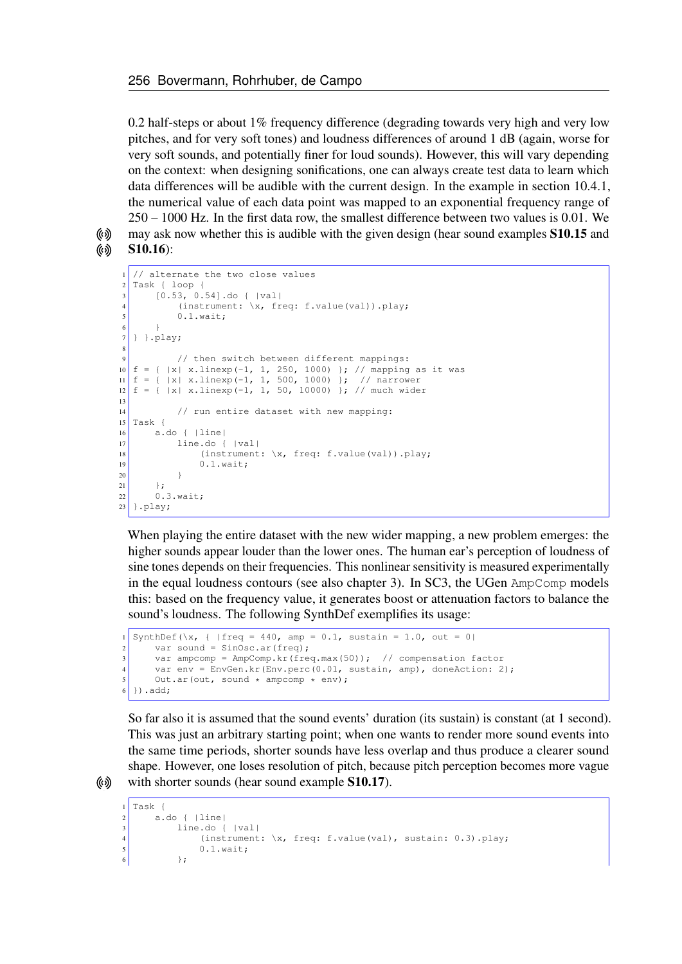0.2 half-steps or about 1% frequency difference (degrading towards very high and very low pitches, and for very soft tones) and loudness differences of around 1 dB (again, worse for very soft sounds, and potentially finer for loud sounds). However, this will vary depending on the context: when designing sonifications, one can always create test data to learn which data differences will be audible with the current design. In the example in section 10.4.1, the numerical value of each data point was mapped to an exponential frequency range of 250 – 1000 Hz. In the first data row, the smallest difference between two values is 0.01. We may ask now whether this is audible with the given design (hear sound examples S10.15 and

```
(①)
      S10.16):
```
⊛

```
1 // alternate the two close values
2 Task { loop {
3 [0.53, 0.54].do { |val|
4 (instrument: \x, freq: f.value(val)).play;
\begin{array}{ccc} 5 & 0.1 \text{.} \text{wait}: \end{array}6 }
7 } }.play;
8
9 // then switch between different mappings:
10 f = \{ |x| \ x.\text{linear}(t-1, 1, 250, 1000) \}; // mapping as it was
11 | f = { |x| x.1 \text{inexp}(-1, 1, 500, 1000) }; // narrower
12 | f = { |x| x.1inexp(-1, 1, 50, 10000) } // much wider
13
14 // run entire dataset with new mapping:
15 Task {
16 a.do { |line|
17 line.do { |val|
18 (instrument: \{x, \text{freq: } f \text{.value}(val)\}. play;
19 0.1.wait:
20 }
21 };
22 \times 0.3. wait:
23 }.play;
```
When playing the entire dataset with the new wider mapping, a new problem emerges: the higher sounds appear louder than the lower ones. The human ear's perception of loudness of sine tones depends on their frequencies. This nonlinear sensitivity is measured experimentally in the equal loudness contours (see also chapter 3). In SC3, the UGen AmpComp models this: based on the frequency value, it generates boost or attenuation factors to balance the sound's loudness. The following SynthDef exemplifies its usage:

```
1 \text{ SynthDef}(\{x, \} \text{ | freq} = 440, \text{ amp} = 0.1, \text{ sustain} = 1.0, \text{ out} = 0)2 \mid var sound = SinOsc.ar(freq);
3 var ampcomp = AmpComp.kr(freq.max(50)); // compensation factor
4 var env = EnvGen.kr(Env.perc(0.01, sustain, amp), doneAction: 2);
5 Out.ar(out, sound * ampcomp * env);
  6 }).add;
```
So far also it is assumed that the sound events' duration (its sustain) is constant (at 1 second). This was just an arbitrary starting point; when one wants to render more sound events into the same time periods, shorter sounds have less overlap and thus produce a clearer sound shape. However, one loses resolution of pitch, because pitch perception becomes more vague with shorter sounds (hear sound example S10.17).

```
(\!\!(\delta)\!)
```

```
1 Task \left\{2^{\vert} a.do { \vert line \vert3 line.do { |val|
4 (instrument: \{x, freq: f.value(val), sustain: 0.3).play;<br>0.1.wait:
               0.1<u>wait</u>;6 };
```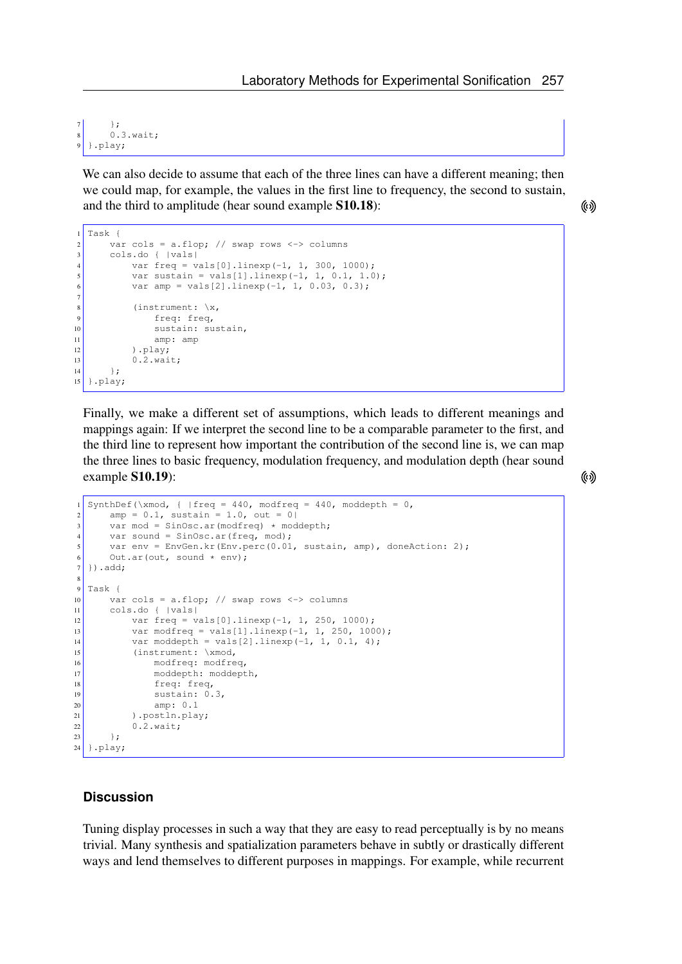```
7 };
\begin{array}{c|c} \hline \text{8} & \text{0.3}.\text{wait}; \end{array}9 }.play;
```
We can also decide to assume that each of the three lines can have a different meaning; then we could map, for example, the values in the first line to frequency, the second to sustain, and the third to amplitude (hear sound example S10.18):

(①)

```
1 Task {
2 \mid var cols = a.flop; // swap rows <-> columns
3 cols.do { |vals|
4 var freq = vals[0].linexp(-1, 1, 300, 1000);
5 var sustain = vals[1].linexp(-1, 1, 0.1, 1.0);
6 var amp = vals[2].linexp(-1, 1, 0.03, 0.3);
7
\begin{array}{c|c} 8 & \text{(instrument: } \setminus x, \\ 9 & \text{freq: freq.} \end{array}freq: freq,
10 sustain: sustain,
11 amp: amp
12 ).play;
13 0.2. wait;
\begin{array}{c} 14 \end{array} };
15 }.play;
```
Finally, we make a different set of assumptions, which leads to different meanings and mappings again: If we interpret the second line to be a comparable parameter to the first, and the third line to represent how important the contribution of the second line is, we can map the three lines to basic frequency, modulation frequency, and modulation depth (hear sound example S10.19):

(《》)

```
1 SynthDef(\xmod, { | freq = 440, modfreq = 440, moddepth = 0,
|2| amp = 0.1, sustain = 1.0, out = 0|
3 var mod = SinOsc.ar(modfreq) * moddepth;<br>var sound = SinOsc.ar(freq, mod);
      var sound = SinOsc.ar(freq, mod);
5 var env = EnvGen.kr(Env.perc(0.01, sustain, amp), doneAction: 2);
6 Out.ar(out, sound * env);<br>7 }).add;
  7 }).add;
8
9 Task {
10 var cols = a.flop; // swap rows \leftarrow > columns
11 cols.do { |vals|\begin{array}{c|c} 12 & \text{var freq} = \text{vals[0].linear(p(-1, 1, 250, 1000));} \end{array}13 var modfreq = vals[1].linexp(-1, 1, 250, 1000);
14 var moddepth = vals[2].linexp(-1, 1, 0.1, 4);
15 (instrument: \xmod,
16 modfreq: modfreq,
17 moddepth: moddepth,
18 freq: freq,<br>19 sustain: 0.
              sustain: 0.3,
20 amp: 0.1
21 ).postln.play;
22 0.2.wait:
23 };
24 }.play;
```
#### **Discussion**

Tuning display processes in such a way that they are easy to read perceptually is by no means trivial. Many synthesis and spatialization parameters behave in subtly or drastically different ways and lend themselves to different purposes in mappings. For example, while recurrent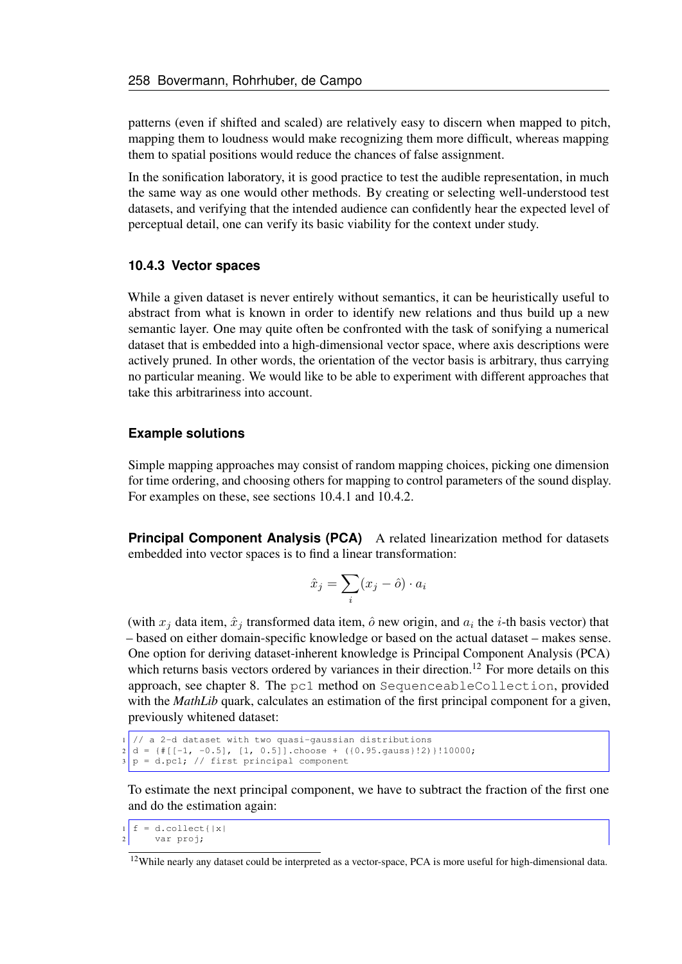patterns (even if shifted and scaled) are relatively easy to discern when mapped to pitch, mapping them to loudness would make recognizing them more difficult, whereas mapping them to spatial positions would reduce the chances of false assignment.

In the sonification laboratory, it is good practice to test the audible representation, in much the same way as one would other methods. By creating or selecting well-understood test datasets, and verifying that the intended audience can confidently hear the expected level of perceptual detail, one can verify its basic viability for the context under study.

### **10.4.3 Vector spaces**

While a given dataset is never entirely without semantics, it can be heuristically useful to abstract from what is known in order to identify new relations and thus build up a new semantic layer. One may quite often be confronted with the task of sonifying a numerical dataset that is embedded into a high-dimensional vector space, where axis descriptions were actively pruned. In other words, the orientation of the vector basis is arbitrary, thus carrying no particular meaning. We would like to be able to experiment with different approaches that take this arbitrariness into account.

# **Example solutions**

Simple mapping approaches may consist of random mapping choices, picking one dimension for time ordering, and choosing others for mapping to control parameters of the sound display. For examples on these, see sections 10.4.1 and 10.4.2.

**Principal Component Analysis (PCA)** A related linearization method for datasets embedded into vector spaces is to find a linear transformation:

$$
\hat{x}_j = \sum_i (x_j - \hat{o}) \cdot a_i
$$

(with  $x_j$  data item,  $\hat{x}_j$  transformed data item,  $\hat{o}$  new origin, and  $a_i$  the *i*-th basis vector) that – based on either domain-specific knowledge or based on the actual dataset – makes sense. One option for deriving dataset-inherent knowledge is Principal Component Analysis (PCA) which returns basis vectors ordered by variances in their direction.<sup>12</sup> For more details on this approach, see chapter 8. The pc1 method on SequenceableCollection, provided with the *MathLib* quark, calculates an estimation of the first principal component for a given, previously whitened dataset:

```
1 / / a 2-d dataset with two quasi-gaussian distributions
2 d = \{ \text{#}[-1, -0.5], [1, 0.5] \}.choose + ({0.95.gauss})!2) }!10000;
 p = d.pcl; // first principal component
```
To estimate the next principal component, we have to subtract the fraction of the first one and do the estimation again:

```
f = d.collect{|x|}var proj;
```
<sup>&</sup>lt;sup>12</sup>While nearly any dataset could be interpreted as a vector-space, PCA is more useful for high-dimensional data.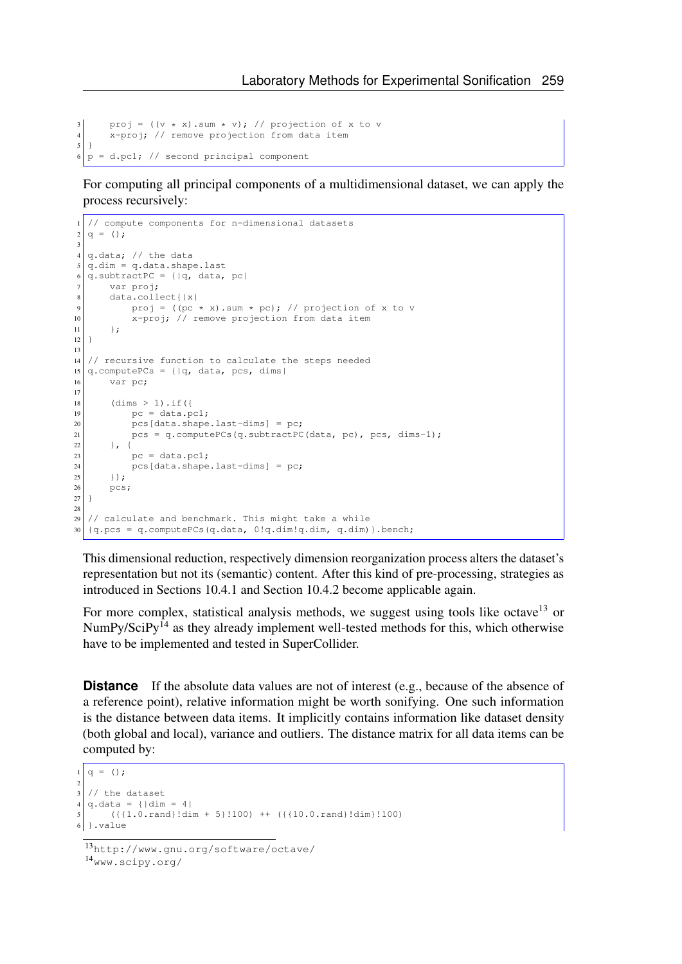```
3 \rightarrow \text{proj} = ((v * x).sum * v); // projection of x to v x-proj: // remove projection from data itemx-proj; // remove projection from data item
5 }
6 \mid p = d.pcl; // second principal component
```
For computing all principal components of a multidimensional dataset, we can apply the process recursively:

```
1 // compute components for n-dimensional datasets
2 q = ();3
4 \mid q.data; // the data
5 \mid q.dim = q.data.shapeua6 \mid q.subtractPC = \{ |q, data, pc|7 var proj;
8 data.collect{|x|
9 \nvert p \cdot 10 \nvert p \cdot 5 \nvert (pc * x). sum * pc); // projection of x to v<br>
p \cdot 10<br>
\frac{10}{2}x-proj; // remove projection from data item
11 \frac{1}{2}12 }
13
14 // recursive function to calculate the steps needed
15 q.computePCs = \{ |q, data, pos, dims|16 var pc;
17
18 (dims > 1).if({
19 pc = data.pc1;
20 pcs[data.shape.last-dims] = pc;
pcs = \sigma.\text{computePCs}(\sigma.\text{subtractPC}(\text{data}, \text{pc}), \text{pcs}, \text{dims-1});22 }, {
23 pc = data.pcl;24 pcs[data.shape.last-dims] = pc;
25 });
26 pcs;
27}
28
29 // calculate and benchmark. This might take a while
  30 {q.pcs = q.computePCs(q.data, 0!q.dim!q.dim, q.dim)}.bench;
```
This dimensional reduction, respectively dimension reorganization process alters the dataset's representation but not its (semantic) content. After this kind of pre-processing, strategies as introduced in Sections 10.4.1 and Section 10.4.2 become applicable again.

For more complex, statistical analysis methods, we suggest using tools like octave<sup>13</sup> or NumPy/SciPy14 as they already implement well-tested methods for this, which otherwise have to be implemented and tested in SuperCollider.

**Distance** If the absolute data values are not of interest (e.g., because of the absence of a reference point), relative information might be worth sonifying. One such information is the distance between data items. It implicitly contains information like dataset density (both global and local), variance and outliers. The distance matrix for all data items can be computed by:

```
1 \mid q = ();
2
3 // the dataset
4 | q.data = {|dim = 4|}5 \mid ({{1.0.rand}!dim + 5}!100) ++ ({{10.0.rand}!dim}!100)
6 }.value
```

```
13http://www.gnu.org/software/octave/
```

```
14www.scipy.org/
```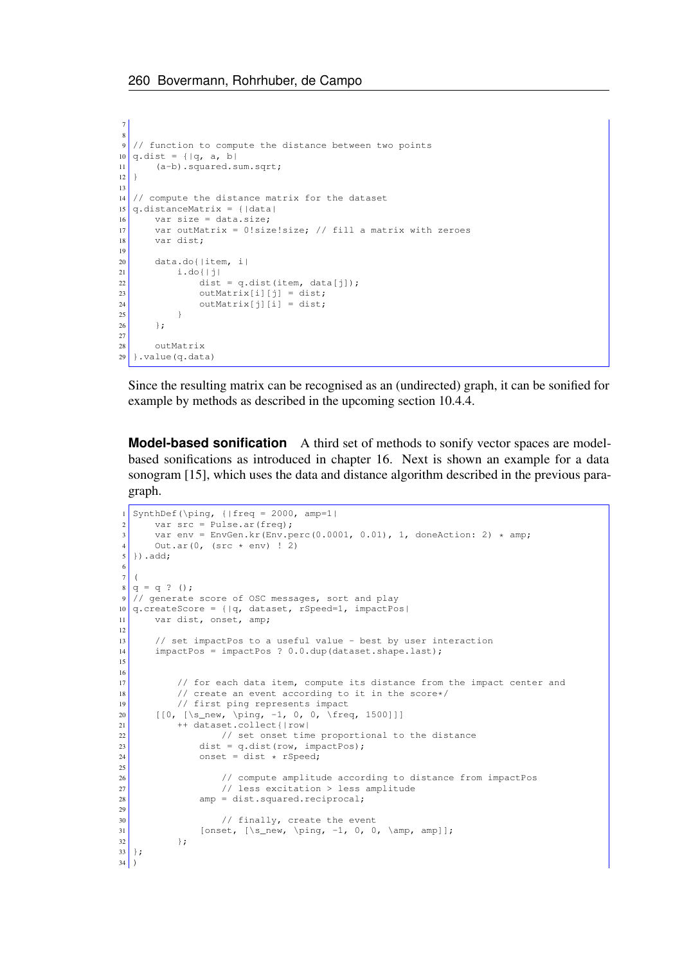```
7
8
9 // function to compute the distance between two points
10 q.dist = \{ |q, a, b|11 (a-b).squared.sum.sqrt;
12 }
13
14 // compute the distance matrix for the dataset
15 q.distanceMatrix = \{ |data|16 var size = data.size:
17 var outMatrix = 0!size!size; // fill a matrix with zeroes
18 var dist;
19
20 data.do{|item, i|
21 \downarrow dof|j|22 dist = q.dist(item, data[j]);
23 \boxed{\text{outMatrix[i][j] = dist;}}24 outMatrix[j][i] = dist;
25 }
26 }:
2728 outMatrix
29 }.value(q.data)
```
Since the resulting matrix can be recognised as an (undirected) graph, it can be sonified for example by methods as described in the upcoming section 10.4.4.

**Model-based sonification** A third set of methods to sonify vector spaces are modelbased sonifications as introduced in chapter 16. Next is shown an example for a data sonogram [15], which uses the data and distance algorithm described in the previous paragraph.

```
1 SynthDef(\ping, {|freq = 2000, amp=1|
|2| var src = Pulse.ar(freq);
3 var env = EnvGen.kr(Env.perc(0.0001, 0.01), 1, doneAction: 2) \star amp;<br>0ut.ar(0, (src \star env) ! 2)
4 Out.ar(0, (src \star env) ! 2)<br>5 }).add;
  5 }).add;
6
7 (
  q = q ? () ;9/\sqrt{7} generate score of OSC messages, sort and play
10 \mid q \text{.createScore} = \{ |q, \text{ dataset}, \text{rSpeed=1, impactPos} \}11 var dist, onset, amp;
12
13 // set impactPos to a useful value - best by user interaction
14 impactPos = impactPos ? 0.0.dup(dataset.shape.last);
15
16
17 // for each data item, compute its distance from the impact center and
18 // create an event according to it in the score*/<br>19 // first ping represents impact
          // first ping represents impact
20 [0, [\s_{new}, \phi, -1, 0, 0, \frac{1500}21 ++ dataset.collect{|row|
22 // set onset time proportional to the distance
23 dist = q.dist(row, impactPos);
24 onset = dist * rSpeed;
25
26 // compute amplitude according to distance from impactPos
27 // less excitation > less amplitude
28 amp = dist.squared.reciprocal;
29
30 // finally, create the event
31 [onset, [\s_new, \ping, -1, 0, 0, \amp, amp]];
32 };
33 };
34 )
```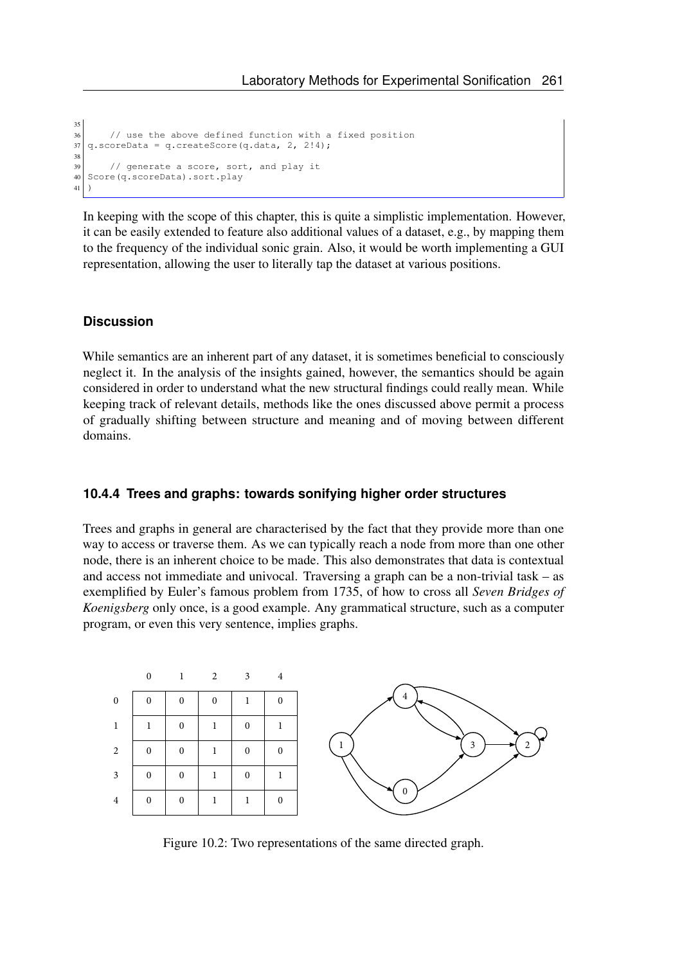```
35
36 // use the above defined function with a fixed position
37 \mid q.\text{scoreData} = q.\text{createScore}(q.\text{data}, 2, 2!4);38
39 // generate a score, sort, and play it
40 Score(q.scoreData).sort.play
41 \mid
```
In keeping with the scope of this chapter, this is quite a simplistic implementation. However, it can be easily extended to feature also additional values of a dataset, e.g., by mapping them to the frequency of the individual sonic grain. Also, it would be worth implementing a GUI representation, allowing the user to literally tap the dataset at various positions.

### **Discussion**

While semantics are an inherent part of any dataset, it is sometimes beneficial to consciously neglect it. In the analysis of the insights gained, however, the semantics should be again considered in order to understand what the new structural findings could really mean. While keeping track of relevant details, methods like the ones discussed above permit a process of gradually shifting between structure and meaning and of moving between different domains.

### **10.4.4 Trees and graphs: towards sonifying higher order structures**

Trees and graphs in general are characterised by the fact that they provide more than one way to access or traverse them. As we can typically reach a node from more than one other node, there is an inherent choice to be made. This also demonstrates that data is contextual and access not immediate and univocal. Traversing a graph can be a non-trivial task – as exemplified by Euler's famous problem from 1735, of how to cross all *Seven Bridges of Koenigsberg* only once, is a good example. Any grammatical structure, such as a computer program, or even this very sentence, implies graphs.



Figure 10.2: Two representations of the same directed graph.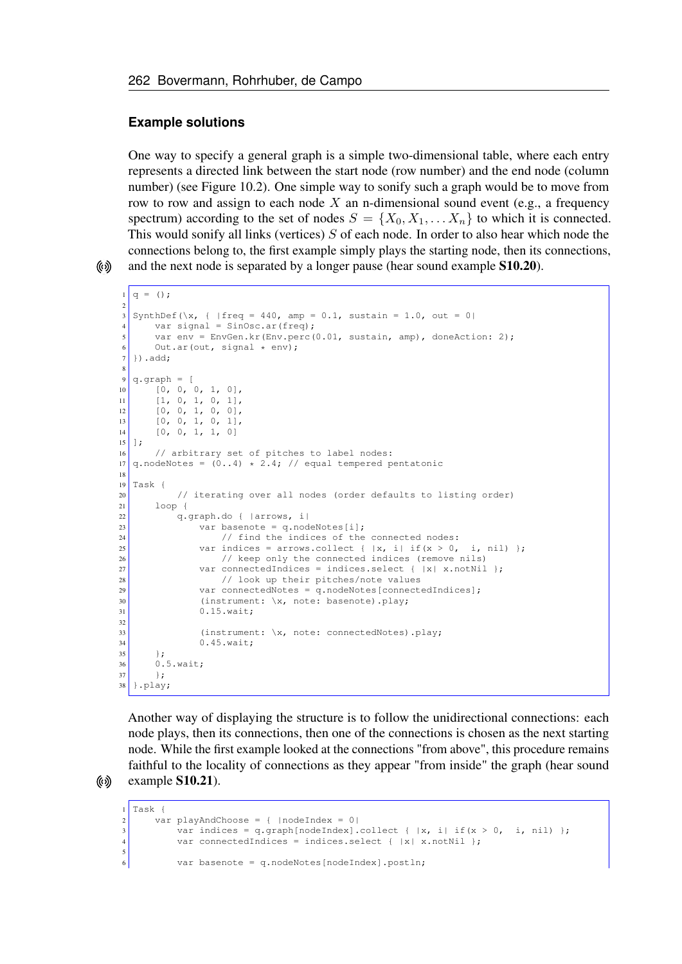#### **Example solutions**

One way to specify a general graph is a simple two-dimensional table, where each entry represents a directed link between the start node (row number) and the end node (column number) (see Figure 10.2). One simple way to sonify such a graph would be to move from row to row and assign to each node  $X$  an n-dimensional sound event (e.g., a frequency spectrum) according to the set of nodes  $S = \{X_0, X_1, \ldots X_n\}$  to which it is connected. This would sonify all links (vertices)  $S$  of each node. In order to also hear which node the connections belong to, the first example simply plays the starting node, then its connections, and the next node is separated by a longer pause (hear sound example S10.20).

(ல்)

(《》)

```
1 | q = () ;2
3 \mid SynthDef(\x, { |freq = 440, amp = 0.1, sustain = 1.0, out = 0|
4 \times 4 var signal = SinOsc.ar(freq):
      var env = EnvGen.kr(Env.perc(0.01, sustain, amp), doneAction: 2);
6 Out.ar(out, signal * env);
  7 }).add;
8
9 \mid q.graph = [
10 [0, 0, 0, 1, 0],
11 [1, 0, 1, 0, 1],
12 [0, 0, 1, 0, 0],
13 [0, 0, 1, 0, 1],
14 [0, 0, 1, 1, 0]
15 \mid j;16 // arbitrary set of pitches to label nodes:
17 g.nodeNotes = (0..4) * 2.4; // equal tempered pentatonic
18
19 Task {
20 // iterating over all nodes (order defaults to listing order)
21 loop {
22 q.graph.do { |arrows, i|
23 var basenote = q.nodeNotes[i];
24 // find the indices of the connected nodes:
25 var indices = arrows.collect { |x, i| if(x > 0, i, nil) };
26 // keep only the connected indices (remove nils)
27 var connectedIndices = indices.select { |x| x.notNil };
28 // look up their pitches/note values
29 var connectedNotes = q.nodeNotes[connectedIndices];
30 (instrument: \chi, note: basenote).play;
31 0.15.wait;
32
33 (instrument: \x, note: connectedNotes).play;<br>0.45.wait;
             0.45.wait:
35 };
36 0.5.wait;
37 };
38 }.play;
```
Another way of displaying the structure is to follow the unidirectional connections: each node plays, then its connections, then one of the connections is chosen as the next starting node. While the first example looked at the connections "from above", this procedure remains faithful to the locality of connections as they appear "from inside" the graph (hear sound example S10.21).

```
1 Task {
|2| var playAndChoose = { | nodeIndex = 0|
3 var indices = q.graph[nodeIndex].collect { |x, i| if (x > 0, i, nil) };
4 var connectedIndices = indices.select { |x| x.notNil };
5
\begin{bmatrix} 6 \end{bmatrix} var basenote = q.nodeNotes[nodeIndex].postln;
```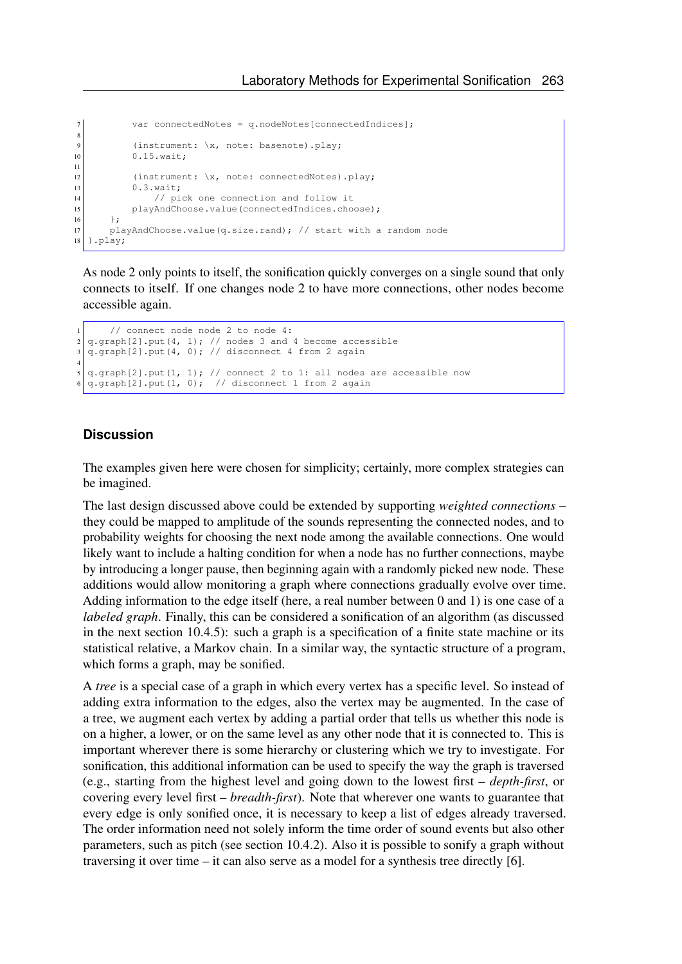```
7 var connectedNotes = q.nodeNotes [connectedIndices];
8
9 (instrument: \x, note: basenote).play;
10 0.15.wait;
11
12 (instrument: \x, note: connectedNotes).play;
13 0.3.wait:
14 // pick one connection and follow it
15 playAndChoose.value(connectedIndices.choose);
16 };
17 playAndChoose.value(q.size.rand); // start with a random node
18 }.play;
```
As node 2 only points to itself, the sonification quickly converges on a single sound that only connects to itself. If one changes node 2 to have more connections, other nodes become accessible again.

```
// connect node node 2 to node 4:
2\midq.graph[2].put(4, 1); // nodes 3 and 4 become accessible
3 | q.\text{graph}[2].put(4, 0); // disconnect 4 from 2 again
4
5 \mid q.\text{graph}[2].\text{put}(1, 1); // connect 2 to 1: all nodes are accessible now.}\begin{bmatrix} 1 & 0 & 0 \\ 0 & 0 & 0 \end{bmatrix} and \begin{bmatrix} 0 & 0 \\ 0 & 1 \end{bmatrix} and \begin{bmatrix} 0 & 0 \\ 0 & 1 \end{bmatrix} and \begin{bmatrix} 0 & 0 \\ 0 & 1 \end{bmatrix} and \begin{bmatrix} 0 & 0 \\ 0 & 1 \end{bmatrix} and \begin{bmatrix} 0 & 0 \\ 0 & 1 \end{bmatrix} and \begin{bmatrix} 0 & 0 \\ 0 & 1 \end{bmatrix} and \begin{b
```
### **Discussion**

The examples given here were chosen for simplicity; certainly, more complex strategies can be imagined.

The last design discussed above could be extended by supporting *weighted connections* – they could be mapped to amplitude of the sounds representing the connected nodes, and to probability weights for choosing the next node among the available connections. One would likely want to include a halting condition for when a node has no further connections, maybe by introducing a longer pause, then beginning again with a randomly picked new node. These additions would allow monitoring a graph where connections gradually evolve over time. Adding information to the edge itself (here, a real number between 0 and 1) is one case of a *labeled graph*. Finally, this can be considered a sonification of an algorithm (as discussed in the next section 10.4.5): such a graph is a specification of a finite state machine or its statistical relative, a Markov chain. In a similar way, the syntactic structure of a program, which forms a graph, may be sonified.

A *tree* is a special case of a graph in which every vertex has a specific level. So instead of adding extra information to the edges, also the vertex may be augmented. In the case of a tree, we augment each vertex by adding a partial order that tells us whether this node is on a higher, a lower, or on the same level as any other node that it is connected to. This is important wherever there is some hierarchy or clustering which we try to investigate. For sonification, this additional information can be used to specify the way the graph is traversed (e.g., starting from the highest level and going down to the lowest first – *depth-first*, or covering every level first – *breadth-first*). Note that wherever one wants to guarantee that every edge is only sonified once, it is necessary to keep a list of edges already traversed. The order information need not solely inform the time order of sound events but also other parameters, such as pitch (see section 10.4.2). Also it is possible to sonify a graph without traversing it over time – it can also serve as a model for a synthesis tree directly [6].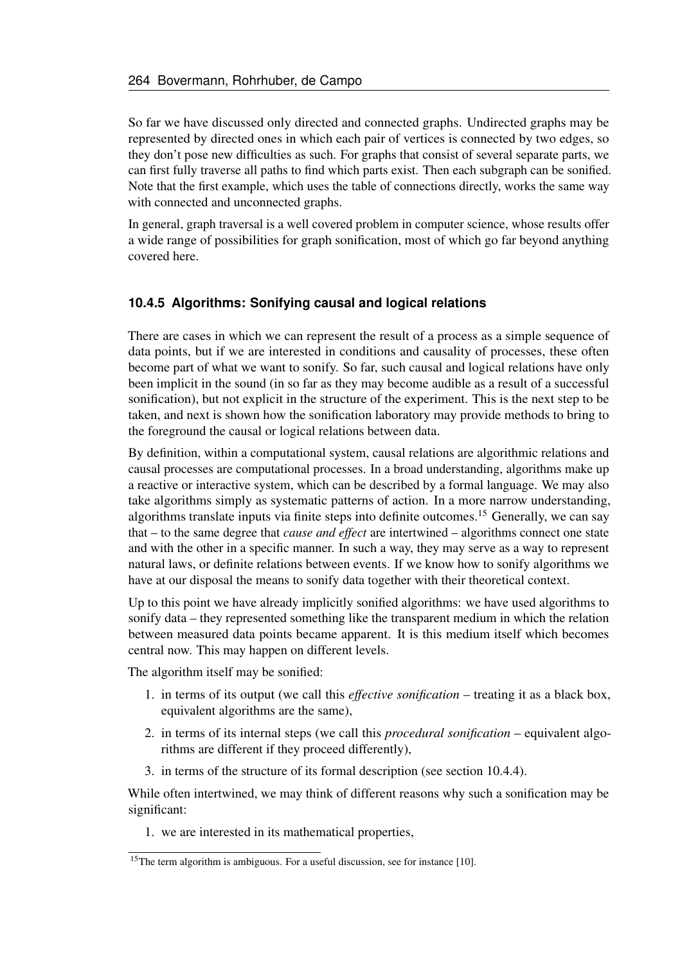So far we have discussed only directed and connected graphs. Undirected graphs may be represented by directed ones in which each pair of vertices is connected by two edges, so they don't pose new difficulties as such. For graphs that consist of several separate parts, we can first fully traverse all paths to find which parts exist. Then each subgraph can be sonified. Note that the first example, which uses the table of connections directly, works the same way with connected and unconnected graphs.

In general, graph traversal is a well covered problem in computer science, whose results offer a wide range of possibilities for graph sonification, most of which go far beyond anything covered here.

# **10.4.5 Algorithms: Sonifying causal and logical relations**

There are cases in which we can represent the result of a process as a simple sequence of data points, but if we are interested in conditions and causality of processes, these often become part of what we want to sonify. So far, such causal and logical relations have only been implicit in the sound (in so far as they may become audible as a result of a successful sonification), but not explicit in the structure of the experiment. This is the next step to be taken, and next is shown how the sonification laboratory may provide methods to bring to the foreground the causal or logical relations between data.

By definition, within a computational system, causal relations are algorithmic relations and causal processes are computational processes. In a broad understanding, algorithms make up a reactive or interactive system, which can be described by a formal language. We may also take algorithms simply as systematic patterns of action. In a more narrow understanding, algorithms translate inputs via finite steps into definite outcomes.<sup>15</sup> Generally, we can say that – to the same degree that *cause and effect* are intertwined – algorithms connect one state and with the other in a specific manner. In such a way, they may serve as a way to represent natural laws, or definite relations between events. If we know how to sonify algorithms we have at our disposal the means to sonify data together with their theoretical context.

Up to this point we have already implicitly sonified algorithms: we have used algorithms to sonify data – they represented something like the transparent medium in which the relation between measured data points became apparent. It is this medium itself which becomes central now. This may happen on different levels.

The algorithm itself may be sonified:

- 1. in terms of its output (we call this *effective sonification* treating it as a black box, equivalent algorithms are the same),
- 2. in terms of its internal steps (we call this *procedural sonification* equivalent algorithms are different if they proceed differently),
- 3. in terms of the structure of its formal description (see section 10.4.4).

While often intertwined, we may think of different reasons why such a sonification may be significant:

1. we are interested in its mathematical properties,

<sup>&</sup>lt;sup>15</sup>The term algorithm is ambiguous. For a useful discussion, see for instance [10].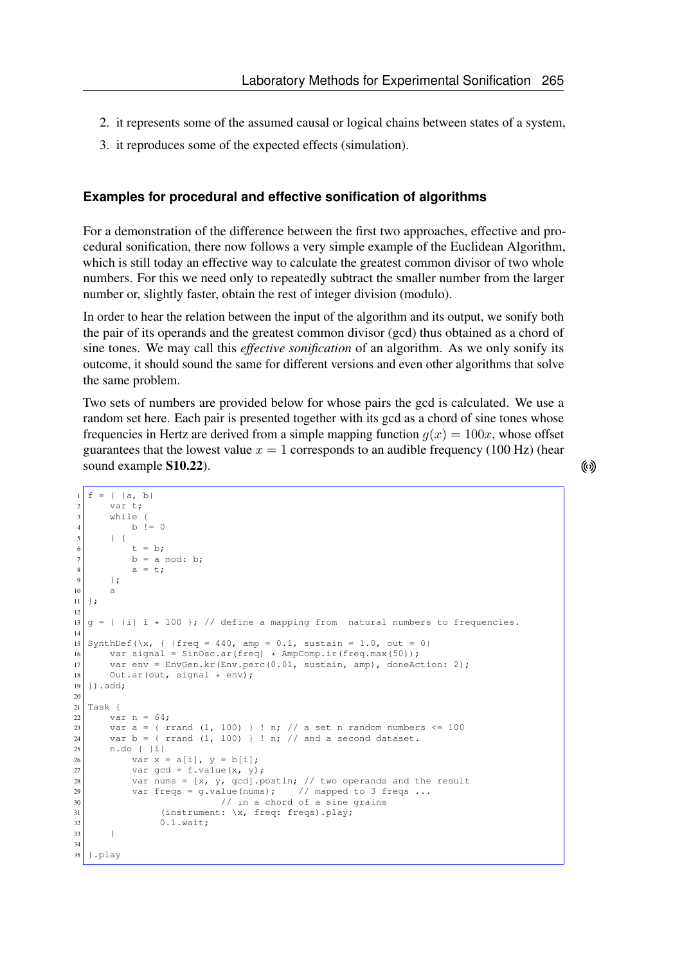- 2. it represents some of the assumed causal or logical chains between states of a system,
- 3. it reproduces some of the expected effects (simulation).

#### **Examples for procedural and effective sonification of algorithms**

For a demonstration of the difference between the first two approaches, effective and procedural sonification, there now follows a very simple example of the Euclidean Algorithm, which is still today an effective way to calculate the greatest common divisor of two whole numbers. For this we need only to repeatedly subtract the smaller number from the larger number or, slightly faster, obtain the rest of integer division (modulo).

In order to hear the relation between the input of the algorithm and its output, we sonify both the pair of its operands and the greatest common divisor (gcd) thus obtained as a chord of sine tones. We may call this *effective sonification* of an algorithm. As we only sonify its outcome, it should sound the same for different versions and even other algorithms that solve the same problem.

Two sets of numbers are provided below for whose pairs the gcd is calculated. We use a random set here. Each pair is presented together with its gcd as a chord of sine tones whose frequencies in Hertz are derived from a simple mapping function  $q(x) = 100x$ , whose offset guarantees that the lowest value  $x = 1$  corresponds to an audible frequency (100 Hz) (hear sound example S10.22).

```
1 \nvert f = \{ |a, b|2 \times \text{var } t;3 while {
4 b ! = 05 } {
6 t = b;7 b = a mod: b;
8 \t a = t;9 };
10 a
11 };
12
13 g = \{ |i| i \times 100 \}; // define a mapping from natural numbers to frequencies.
14
15 SynthDef(\x, { | freq = 440, amp = 0.1, sustain = 1.0, out = 0|
16 var signal = SinOsc.ar(freq) * AmpComp.ir(freq.max(50));<br>var env = EnvGen.kr(Env.perc(0.01, sustain, amp), doneAc
      var env = EnvGen.kr(Env.perc(0.01, sustain, amp), doneAction: 2);
18 Out.ar(out, signal * env);<br>19 \).add:
  19 }).add;
2021 Task {
22 var n = 64:
23 var a = { rrand (1, 100) } ! n; // a set n random numbers <= 100
24 var b = \{ rrand (1, 100) \} \vdots n; // and a second dataset.
25 n.do \left\{\right| | i|
26 var x = a[i], y = b[i];27 var gcd = f.value(x, y);
28 var nums = [x, y, \text{ gcd}].\text{postln}; // two operands and the result
29 var freqs = g.value(nums); // mapped to 3 freqs ...
30 // in a chord of a sine grains
31 (instrument: \chi, freq: freqs).play;
32 0.1.wait;
33 }
34
35 }.play
```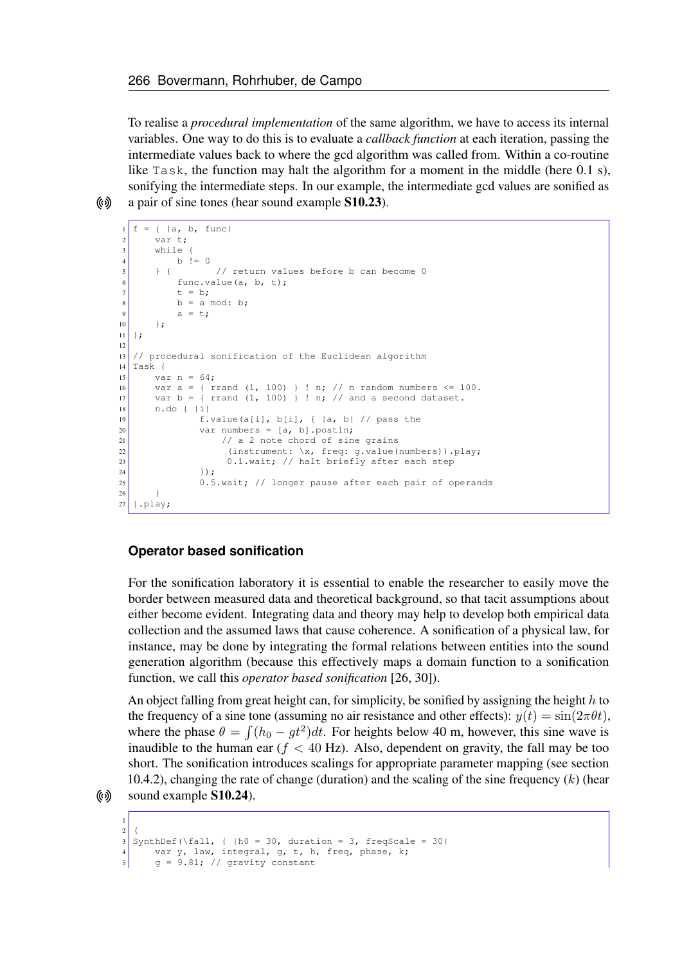To realise a *procedural implementation* of the same algorithm, we have to access its internal variables. One way to do this is to evaluate a *callback function* at each iteration, passing the intermediate values back to where the gcd algorithm was called from. Within a co-routine like Task, the function may halt the algorithm for a moment in the middle (here 0.1 s), sonifying the intermediate steps. In our example, the intermediate gcd values are sonified as a pair of sine tones (hear sound example S10.23).

```
(《》)
```
12

```
1 \mid f = \{ \mid a, b, \text{func} \}2 \mid \text{var } t;3 while {
4 b i = 05 } { // return values before b can become 0
6 func.value(a, b, t);7 \mid t = b;|8| b = a mod: b;
9 a = t;
\begin{array}{c|c} 10 & & \frac{1}{2} \\ 11 & & \frac{1}{2} \end{array}\lambda:
13 // procedural sonification of the Euclidean algorithm
14 Task {
\text{var } n = 64:
16 var a = { rrand (1, 100) } ! n; // n random numbers \leq 100.
17 var b = \{ \text{ rand } (1, 100) \} ! n; // and a second dataset.18 n.do { |i|
19 f.value(a[i], b[i], { |a, b| // pass the
20 var numbers = [a, b]. postln;
\frac{1}{21} // a 2 note chord of sine grains
22 (instrument: \x, freq: g.value(numbers)).play;
23 0.1.wait; // halt briefly after each step
\begin{array}{c|c}\n 24 & 0.5 \\
 \hline\n 25 & 0.5\n \end{array}0.5.wait; // longer pause after each pair of operands
26 }
27 }.play;
```
#### **Operator based sonification**

For the sonification laboratory it is essential to enable the researcher to easily move the border between measured data and theoretical background, so that tacit assumptions about either become evident. Integrating data and theory may help to develop both empirical data collection and the assumed laws that cause coherence. A sonification of a physical law, for instance, may be done by integrating the formal relations between entities into the sound generation algorithm (because this effectively maps a domain function to a sonification function, we call this *operator based sonification* [26, 30]).

An object falling from great height can, for simplicity, be sonified by assigning the height  $h$  to the frequency of a sine tone (assuming no air resistance and other effects):  $y(t) = \sin(2\pi\theta t)$ , where the phase  $\theta = \int (h_0 - gt^2) dt$ . For heights below 40 m, however, this sine wave is inaudible to the human ear ( $f < 40$  Hz). Also, dependent on gravity, the fall may be too short. The sonification introduces scalings for appropriate parameter mapping (see section 10.4.2), changing the rate of change (duration) and the scaling of the sine frequency  $(k)$  (hear

```
\left(\!\left(\!\left(\cdot\right)\!\right)\!\right)sound example S10.24).
```

```
1
2 (
3 \text{ SymbDef}(\text{all}, \{ \text{h0} = 30, duration = 3, freqScale = 30}4 var y, law, integral, g, t, h, freq, phase, k;
5 \qquad q = 9.81; // gravity constant
```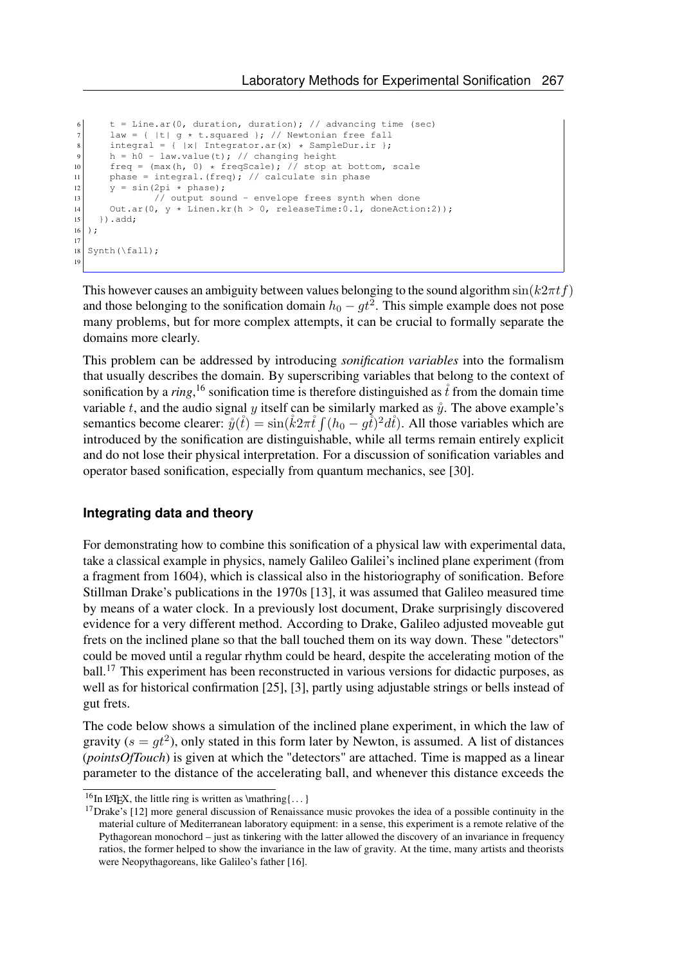```
6 t = Line.ar(0, duration, duration); // advancing time (sec)<br>7 law = { |t| q * t.squared }; // Newtonian free fall
7 law = { |t| g \star t.squared }; // Newtonian free fall integral = { |x| Integrator.ar(x) \star SampleDur.ir };
8 integral = { |x| Integrator.ar(x) * SampleDur.ir };<br>h = h0 - law.value(t): // changing height
          h = h0 - law.value(t); // changing height10 freq = (max(h, 0) * freqScale); // stop at bottom, scale<br>
11 bhase = integral. (freq); // calculate sin phase
          phase = integral.(freq); // calculate sin phase
\begin{array}{c|c} \n 12 & \text{if } y = \sin(2\pi i) \star \text{phase}; \\
 13 & // output you\n \end{array}1)<br>// output sound - envelope frees synth when done
14 Out.ar(0, y * Linen.kr(h > 0, releaseTime:0.1, doneAction:2));<br>15 \).add;
       15 }).add;
16 );
17
18 Synth(\fall);
19
```
This however causes an ambiguity between values belonging to the sound algorithm  $sin(k2\pi t f)$ and those belonging to the sonification domain  $h_0 - gt^2$ . This simple example does not pose many problems, but for more complex attempts, it can be crucial to formally separate the domains more clearly.

This problem can be addressed by introducing *sonification variables* into the formalism that usually describes the domain. By superscribing variables that belong to the context of sonification by a *ring*, <sup>16</sup> sonification time is therefore distinguished as  $\hat{t}$  from the domain time variable t, and the audio signal y itself can be similarly marked as  $\hat{y}$ . The above example's semantics become clearer:  $\hat{y}(\hat{t}) = \sin(\hat{k}2\pi\hat{t} \int (h_0 - g\hat{t})^2 d\hat{t})$ . All those variables which are introduced by the sonification are distinguishable, while all terms remain entirely explicit and do not lose their physical interpretation. For a discussion of sonification variables and operator based sonification, especially from quantum mechanics, see [30].

#### **Integrating data and theory**

For demonstrating how to combine this sonification of a physical law with experimental data, take a classical example in physics, namely Galileo Galilei's inclined plane experiment (from a fragment from 1604), which is classical also in the historiography of sonification. Before Stillman Drake's publications in the 1970s [13], it was assumed that Galileo measured time by means of a water clock. In a previously lost document, Drake surprisingly discovered evidence for a very different method. According to Drake, Galileo adjusted moveable gut frets on the inclined plane so that the ball touched them on its way down. These "detectors" could be moved until a regular rhythm could be heard, despite the accelerating motion of the ball.<sup>17</sup> This experiment has been reconstructed in various versions for didactic purposes, as well as for historical confirmation [25], [3], partly using adjustable strings or bells instead of gut frets.

The code below shows a simulation of the inclined plane experiment, in which the law of gravity  $(s = qt^2)$ , only stated in this form later by Newton, is assumed. A list of distances (*pointsOfTouch*) is given at which the "detectors" are attached. Time is mapped as a linear parameter to the distance of the accelerating ball, and whenever this distance exceeds the

<sup>&</sup>lt;sup>16</sup>In LAT<sub>E</sub>X, the little ring is written as \mathring{...}

<sup>&</sup>lt;sup>17</sup>Drake's [12] more general discussion of Renaissance music provokes the idea of a possible continuity in the material culture of Mediterranean laboratory equipment: in a sense, this experiment is a remote relative of the Pythagorean monochord – just as tinkering with the latter allowed the discovery of an invariance in frequency ratios, the former helped to show the invariance in the law of gravity. At the time, many artists and theorists were Neopythagoreans, like Galileo's father [16].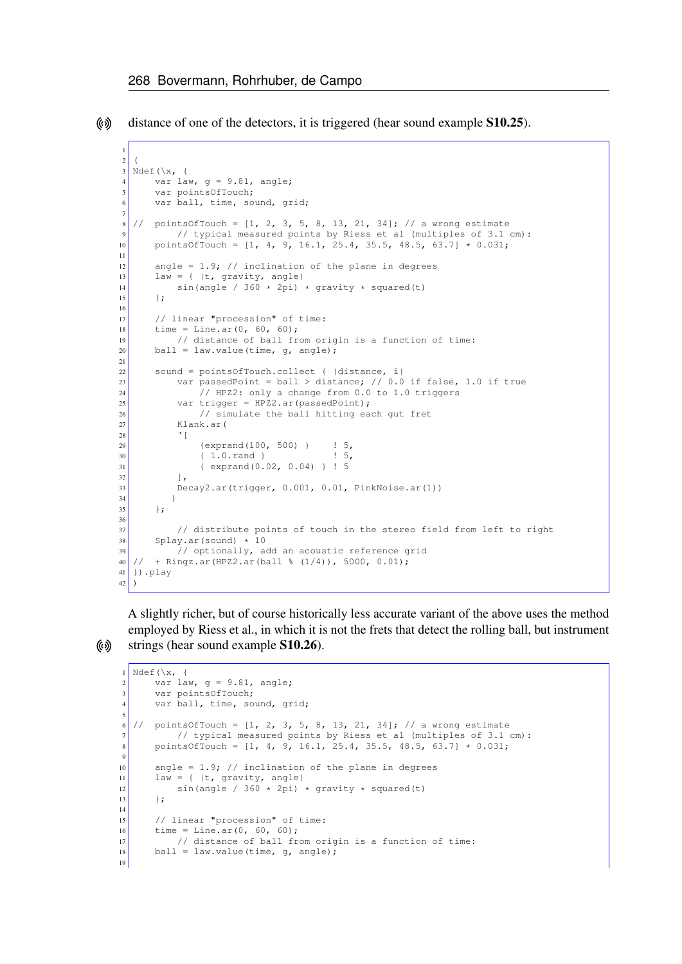1

 $(\!$ distance of one of the detectors, it is triggered (hear sound example S10.25).

```
\overline{2}3 Ndef(\x, {
4 var law, g = 9.81, angle;
5 var pointsOfTouch;
6 var ball, time, sound, grid;
7
8 / // pointsOfTouch = [1, 2, 3, 5, 8, 13, 21, 34]; // a wrong estimate
9 // typical measured points by Riess et al (multiples of 3.1 cm):<br>10 points 0f Touch = [1, 4, 9, 16.1, 25.4, 35.5, 48.5, 63.7] \times 0.031;
      pointsOfTouch = [1, 4, 9, 16.1, 25.4, 35.5, 48.5, 63.7] \times 0.031;11
12 angle = 1.9; // inclination of the plane in degrees
13 law = {|t, gravity, angle}
14 sin(angle / 360 \star 2pi) \star gravity \star squared(t)
      15 };
16
17 // linear "procession" of time:
18 time = Line.ar(0, 60, 60);
19 // distance of ball from origin is a function of time:
20 ball = law.value(time, q, angle);
2122 sound = pointsOfTouch.collect { |distance, i|23 var passedPoint = ball > distance; \frac{1}{100} of false, 1.0 if true
24 // HPZ2: only a change from 0.0 to 1.0 triggers
25 var trigger = HPZ2.ar(passedPoint);
26 // simulate the ball hitting each gut fret
27 Klank.ar(
28 \
29 {exprand(100, 500) } ! 5,
30 { 1.0.rand } ! 5,
31 { exprand(0.02, 0.04) } ! 5
\overline{32} \overline{1},
33 Decay2.ar(trigger, 0.001, 0.01, PinkNoise.ar(1))
34 )
35 };
36
37 // distribute points of touch in the stereo field from left to right
\begin{array}{c|c}\n 38 & \text{Splay.} \text{ar}(\text{sound}) \times 10 \\
 \hline\n  \text{39} & \text{Normally.} \text{a}\n \end{array}// optionally, add an acoustic reference grid
40 \t/ / + Ringz.ar(HPZ2.ar(ball % (1/4)), 5000, 0.01);
  41 }).play
42 \mid)
```
A slightly richer, but of course historically less accurate variant of the above uses the method employed by Riess et al., in which it is not the frets that detect the rolling ball, but instrument strings (hear sound example S10.26).

```
((0))
```

```
1 Ndef(\x, {
2 \times 2 = \text{var law}, \quad g = 9.81, \text{ angle};3 var pointsOfTouch;
4 var ball, time, sound, grid;
5
6 // pointsOfTouch = [1, 2, 3, 5, 8, 13, 21, 34]; // a wrong estimate
7 // typical measured points by Riess et al (multiples of 3.1 cm):
8 pointsOfTouch = [1, 4, 9, 16.1, 25.4, 35.5, 48.5, 63.7] * 0.031;9
|10| angle = 1.9; // inclination of the plane in degrees
11 law = { |t, gravity, angle}
12 sin(angle / 360 \star 2pi) \star gravity \star squared(t)
      13 };
14
15 // linear "procession" of time:
16 time = Line.ar(0, 60, 60);
17 // distance of ball from origin is a function of time:
18 ball = law.value(time, q, angle);
19
```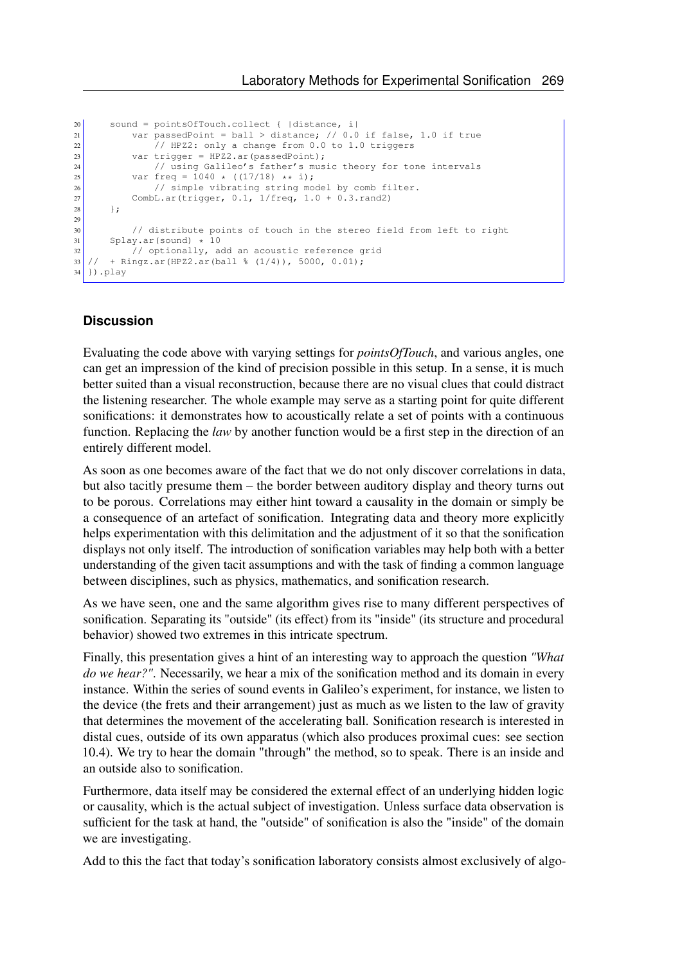```
20 sound = pointsOfTouch.collect { |distance, i|21 var passedPoint = ball > distance; // 0.0 if false, 1.0 if true
22 // HPZ2: only a change from 0.0 to 1.0 triggers
23 var trigger = HPZ2.ar (passedPoint);
24 // using Galileo's father's music theory for tone intervals
25 var freq = 1040 \times (17/18) \times i;<br>26 // simple vibrating string mode
              // simple vibrating string model by comb filter.
27 CombL.ar(trigger, 0.1, 1/freq, 1.0 + 0.3.random28 };
29
30 // distribute points of touch in the stereo field from left to right
31 Splay.ar (sound) \star 10
32 // optionally, add an acoustic reference grid
33 // + Ringz.ar (HPZ2.ar (ball % (1/4)), 5000, 0.01);
34 }).play
```
#### **Discussion**

Evaluating the code above with varying settings for *pointsOfTouch*, and various angles, one can get an impression of the kind of precision possible in this setup. In a sense, it is much better suited than a visual reconstruction, because there are no visual clues that could distract the listening researcher. The whole example may serve as a starting point for quite different sonifications: it demonstrates how to acoustically relate a set of points with a continuous function. Replacing the *law* by another function would be a first step in the direction of an entirely different model.

As soon as one becomes aware of the fact that we do not only discover correlations in data, but also tacitly presume them – the border between auditory display and theory turns out to be porous. Correlations may either hint toward a causality in the domain or simply be a consequence of an artefact of sonification. Integrating data and theory more explicitly helps experimentation with this delimitation and the adjustment of it so that the sonification displays not only itself. The introduction of sonification variables may help both with a better understanding of the given tacit assumptions and with the task of finding a common language between disciplines, such as physics, mathematics, and sonification research.

As we have seen, one and the same algorithm gives rise to many different perspectives of sonification. Separating its "outside" (its effect) from its "inside" (its structure and procedural behavior) showed two extremes in this intricate spectrum.

Finally, this presentation gives a hint of an interesting way to approach the question *"What do we hear?"*. Necessarily, we hear a mix of the sonification method and its domain in every instance. Within the series of sound events in Galileo's experiment, for instance, we listen to the device (the frets and their arrangement) just as much as we listen to the law of gravity that determines the movement of the accelerating ball. Sonification research is interested in distal cues, outside of its own apparatus (which also produces proximal cues: see section 10.4). We try to hear the domain "through" the method, so to speak. There is an inside and an outside also to sonification.

Furthermore, data itself may be considered the external effect of an underlying hidden logic or causality, which is the actual subject of investigation. Unless surface data observation is sufficient for the task at hand, the "outside" of sonification is also the "inside" of the domain we are investigating.

Add to this the fact that today's sonification laboratory consists almost exclusively of algo-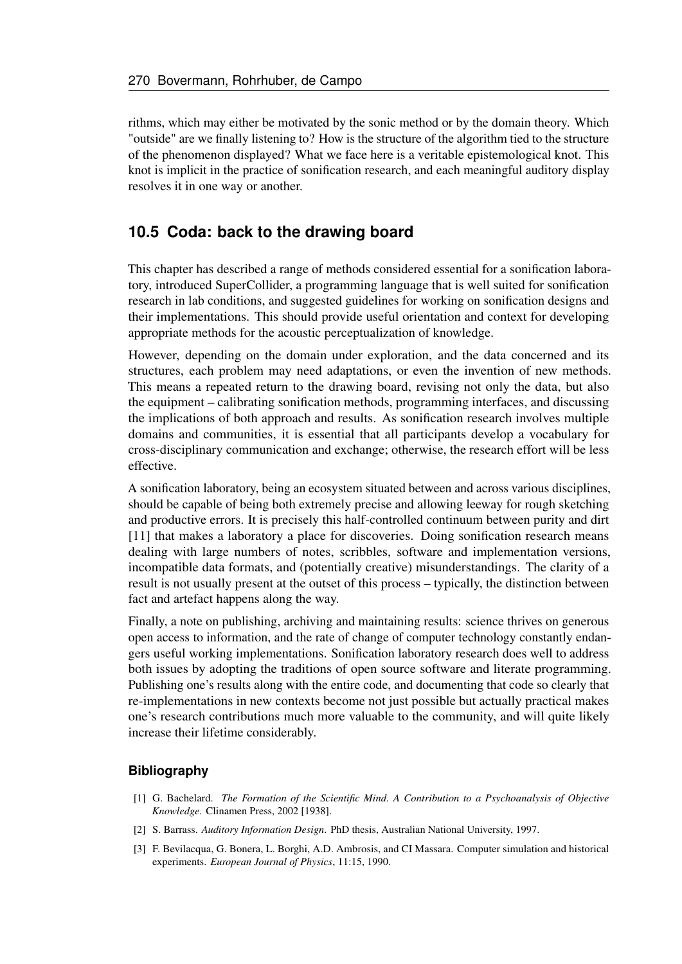rithms, which may either be motivated by the sonic method or by the domain theory. Which "outside" are we finally listening to? How is the structure of the algorithm tied to the structure of the phenomenon displayed? What we face here is a veritable epistemological knot. This knot is implicit in the practice of sonification research, and each meaningful auditory display resolves it in one way or another.

# **10.5 Coda: back to the drawing board**

This chapter has described a range of methods considered essential for a sonification laboratory, introduced SuperCollider, a programming language that is well suited for sonification research in lab conditions, and suggested guidelines for working on sonification designs and their implementations. This should provide useful orientation and context for developing appropriate methods for the acoustic perceptualization of knowledge.

However, depending on the domain under exploration, and the data concerned and its structures, each problem may need adaptations, or even the invention of new methods. This means a repeated return to the drawing board, revising not only the data, but also the equipment – calibrating sonification methods, programming interfaces, and discussing the implications of both approach and results. As sonification research involves multiple domains and communities, it is essential that all participants develop a vocabulary for cross-disciplinary communication and exchange; otherwise, the research effort will be less effective.

A sonification laboratory, being an ecosystem situated between and across various disciplines, should be capable of being both extremely precise and allowing leeway for rough sketching and productive errors. It is precisely this half-controlled continuum between purity and dirt [11] that makes a laboratory a place for discoveries. Doing sonification research means dealing with large numbers of notes, scribbles, software and implementation versions, incompatible data formats, and (potentially creative) misunderstandings. The clarity of a result is not usually present at the outset of this process – typically, the distinction between fact and artefact happens along the way.

Finally, a note on publishing, archiving and maintaining results: science thrives on generous open access to information, and the rate of change of computer technology constantly endangers useful working implementations. Sonification laboratory research does well to address both issues by adopting the traditions of open source software and literate programming. Publishing one's results along with the entire code, and documenting that code so clearly that re-implementations in new contexts become not just possible but actually practical makes one's research contributions much more valuable to the community, and will quite likely increase their lifetime considerably.

#### **Bibliography**

- [1] G. Bachelard. *The Formation of the Scientific Mind. A Contribution to a Psychoanalysis of Objective Knowledge*. Clinamen Press, 2002 [1938].
- [2] S. Barrass. *Auditory Information Design*. PhD thesis, Australian National University, 1997.
- [3] F. Bevilacqua, G. Bonera, L. Borghi, A.D. Ambrosis, and CI Massara. Computer simulation and historical experiments. *European Journal of Physics*, 11:15, 1990.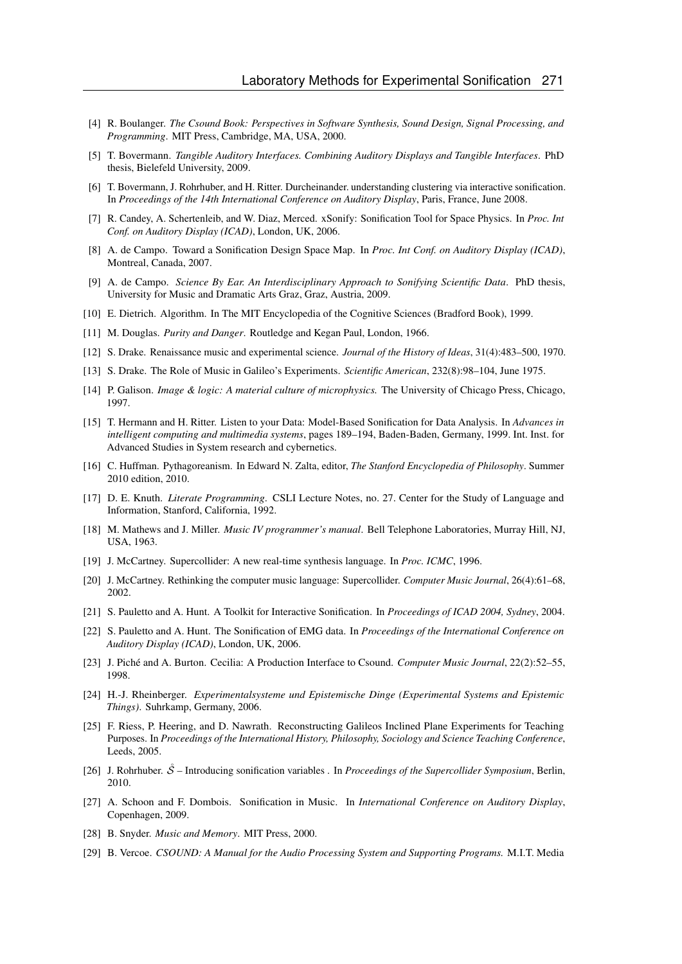- [4] R. Boulanger. *The Csound Book: Perspectives in Software Synthesis, Sound Design, Signal Processing, and Programming*. MIT Press, Cambridge, MA, USA, 2000.
- [5] T. Bovermann. *Tangible Auditory Interfaces. Combining Auditory Displays and Tangible Interfaces*. PhD thesis, Bielefeld University, 2009.
- [6] T. Bovermann, J. Rohrhuber, and H. Ritter. Durcheinander. understanding clustering via interactive sonification. In *Proceedings of the 14th International Conference on Auditory Display*, Paris, France, June 2008.
- [7] R. Candey, A. Schertenleib, and W. Diaz, Merced. xSonify: Sonification Tool for Space Physics. In *Proc. Int Conf. on Auditory Display (ICAD)*, London, UK, 2006.
- [8] A. de Campo. Toward a Sonification Design Space Map. In *Proc. Int Conf. on Auditory Display (ICAD)*, Montreal, Canada, 2007.
- [9] A. de Campo. *Science By Ear. An Interdisciplinary Approach to Sonifying Scientific Data*. PhD thesis, University for Music and Dramatic Arts Graz, Graz, Austria, 2009.
- [10] E. Dietrich. Algorithm. In The MIT Encyclopedia of the Cognitive Sciences (Bradford Book), 1999.
- [11] M. Douglas. *Purity and Danger*. Routledge and Kegan Paul, London, 1966.
- [12] S. Drake. Renaissance music and experimental science. *Journal of the History of Ideas*, 31(4):483–500, 1970.
- [13] S. Drake. The Role of Music in Galileo's Experiments. *Scientific American*, 232(8):98–104, June 1975.
- [14] P. Galison. *Image & logic: A material culture of microphysics.* The University of Chicago Press, Chicago, 1997.
- [15] T. Hermann and H. Ritter. Listen to your Data: Model-Based Sonification for Data Analysis. In *Advances in intelligent computing and multimedia systems*, pages 189–194, Baden-Baden, Germany, 1999. Int. Inst. for Advanced Studies in System research and cybernetics.
- [16] C. Huffman. Pythagoreanism. In Edward N. Zalta, editor, *The Stanford Encyclopedia of Philosophy*. Summer 2010 edition, 2010.
- [17] D. E. Knuth. *Literate Programming*. CSLI Lecture Notes, no. 27. Center for the Study of Language and Information, Stanford, California, 1992.
- [18] M. Mathews and J. Miller. *Music IV programmer's manual*. Bell Telephone Laboratories, Murray Hill, NJ, USA, 1963.
- [19] J. McCartney. Supercollider: A new real-time synthesis language. In *Proc. ICMC*, 1996.
- [20] J. McCartney. Rethinking the computer music language: Supercollider. *Computer Music Journal*, 26(4):61–68, 2002.
- [21] S. Pauletto and A. Hunt. A Toolkit for Interactive Sonification. In *Proceedings of ICAD 2004, Sydney*, 2004.
- [22] S. Pauletto and A. Hunt. The Sonification of EMG data. In *Proceedings of the International Conference on Auditory Display (ICAD)*, London, UK, 2006.
- [23] J. Piché and A. Burton. Cecilia: A Production Interface to Csound. *Computer Music Journal*, 22(2):52–55, 1998.
- [24] H.-J. Rheinberger. *Experimentalsysteme und Epistemische Dinge (Experimental Systems and Epistemic Things)*. Suhrkamp, Germany, 2006.
- [25] F. Riess, P. Heering, and D. Nawrath. Reconstructing Galileos Inclined Plane Experiments for Teaching Purposes. In *Proceedings of the International History, Philosophy, Sociology and Science Teaching Conference*, Leeds, 2005.
- [26] J. Rohrhuber.  $\dot{\mathcal{S}}$  Introducing sonification variables . In *Proceedings of the Supercollider Symposium*, Berlin, 2010.
- [27] A. Schoon and F. Dombois. Sonification in Music. In *International Conference on Auditory Display*, Copenhagen, 2009.
- [28] B. Snyder. *Music and Memory*. MIT Press, 2000.
- [29] B. Vercoe. *CSOUND: A Manual for the Audio Processing System and Supporting Programs.* M.I.T. Media